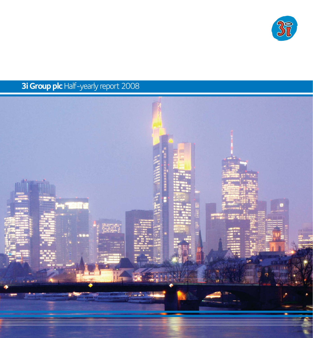

# **3i Group plc** Half-yearly report 2008

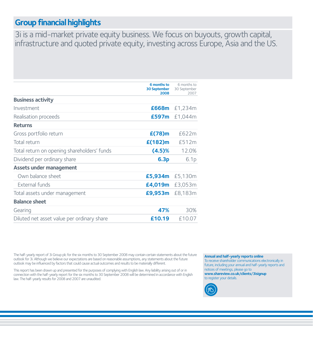## **Group financial highlights**

3i is a mid-market private equity business. We focus on buyouts, growth capital, infrastructure and quoted private equity, investing across Europe, Asia and the US.

|                                             | 6 months to<br><b>30 September</b><br>2008 | 6 months to<br>30 September<br>2007 |
|---------------------------------------------|--------------------------------------------|-------------------------------------|
| <b>Business activity</b>                    |                                            |                                     |
| Investment                                  | £668m                                      | £1,234m                             |
| Realisation proceeds                        | £597m                                      | £1,044m                             |
| <b>Returns</b>                              |                                            |                                     |
| Gross portfolio return                      | $E(78)$ m                                  | £622m                               |
| Total return                                | $E(182)$ m                                 | £512m                               |
| Total return on opening shareholders' funds | $(4.5)\%$                                  | 12.0%                               |
| Dividend per ordinary share                 | 6.3 <sub>p</sub>                           | 6.1p                                |
| <b>Assets under management</b>              |                                            |                                     |
| Own balance sheet                           | £5,934m                                    | £5,130m                             |
| External funds                              | £4,019m                                    | £3,053m                             |
| Total assets under management               | £9,953m                                    | £8,183m                             |
| <b>Balance sheet</b>                        |                                            |                                     |
| Gearing                                     | 47%                                        | 30%                                 |
| Diluted net asset value per ordinary share  | £10.19                                     | £10.07                              |
|                                             |                                            |                                     |

The half-yearly report of 3i Group plc for the six months to 30 September 2008 may contain certain statements about the future outlook for 3i. Although we believe our expectations are based on reasonable assumptions, any statements about the future outlook may be influenced by factors that could cause actual outcomes and results to be materially different.

This report has been drawn up and presented for the purposes of complying with English law. Any liability arising out of or in connection with the half-yearly report for the six months to 30 September 2008 will be determined in accordance with English law. The half-yearly results for 2008 and 2007 are unaudited.

**Annual and half-yearly reports online**

To receive shareholder communications electronically in future, including your annual and half-yearly reports and notices of meetings, please go to **www.shareview.co.uk/clients/3isignup** to register your details.

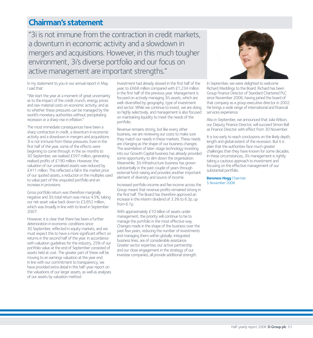## **Chairman's statement**

"3i is not immune from the contraction in credit markets, a downturn in economic activity and a slowdown in mergers and acquisitions. However, in this much tougher environment, 3i's diverse portfolio and our focus on active management are important strengths."

In my statement to you in our annual report in May I said that:

"We start the year at a moment of great uncertainty as to the impact of the credit crunch, energy prices and raw material costs on economic activity, and as to whether these pressures can be managed by the world's monetary authorities without precipitating recession or a sharp rise in inflation."

The most immediate consequences have been a sharp contraction in credit, a downturn in economic activity and a slowdown in mergers and acquisitions. 3i is not immune from these pressures. Even in the first half of the year, some of the effects were beginning to come through. In the six months to 30 September, we realised £597 million, generating realised profits of £190 million. However, the valuation of our unrealised assets was reduced by £411 million. This reflected a fall in the market price of our quoted assets, a reduction in the multiples used to value part of the unquoted portfolio and an increase in provisions.

Gross portfolio return was therefore marginally negative and 3i's total return was minus 4.5%, taking our net asset value back down to £3,852 million, which was broadly in line with its level in September 2007.

However, it is clear that there has been a further deterioration in economic conditions since 30 September, reflected in equity markets, and we must expect this to have a more significant effect on returns in the second half of the year. In accordance with valuation guidelines for the industry, 25% of our portfolio value at the end of September consisted of assets held at cost. The greater part of these will be moving to an earnings valuation at the year end. In line with our commitment to transparency, we have provided extra detail in this half-year report on the valuations of our larger assets, as well as analyses of our assets by valuation method.

Investment had already slowed in the first half of the year, to £668 million compared with £1,234 million in the first half of the previous year. Management is focused on actively managing 3i's assets, which are well-diversified by geography, type of investment and sector. While we continue to invest, we are doing so highly selectively, and management is also focused on maintaining liquidity to meet the needs of the portfolio.

Revenue remains strong, but like every other business, we are reviewing our costs to make sure they match our needs in these markets. These needs are changing as the shape of our business changes. The assimilation of later-stage technology investing into our Growth Capital business has already provided some opportunity to slim down the organisation. Meanwhile, 3i's Infrastructure business has grown substantially in the past couple of years through external fund-raising and provides another important element of diversity and source of income.

Increased portfolio income and fee income across the Group meant that revenue profits remained strong in the first half. The Board has therefore approved an increase in the interim dividend of 3.3% to 6.3p, up from 6.1p.

With approximately £10 billion of assets under management, the priority will continue to be to manage the portfolio in the most effective way. Changes made in the shape of the business over the past few years, reducing the number of investments and managing them within globally-integrated business lines, are of considerable assistance. Greater sector expertise, our active partnership and our close engagement in the strategy of our investee companies, all provide additional strength.



In September, we were delighted to welcome Richard Meddings to the Board. Richard has been Group Finance Director of Standard Chartered PLC since November 2006, having joined the board of that company as a group executive director in 2002. He brings a wide range of international and financial services experience.

Also in September, we announced that Julia Wilson, our Deputy Finance Director, will succeed Simon Ball as Finance Director with effect from 30 November.

It is too early to reach conclusions on the likely depth, length and global extent of the recession. But it is plain that the authorities face much greater challenges than they have known for some decades. In these circumstances, 3i's management is rightly taking a cautious approach to investment and focusing on the effective management of our substantial portfolio.

**Baroness Hogg** Chairman 5 November 2008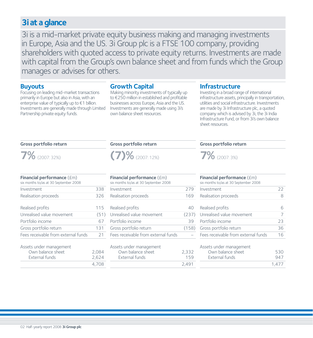## **3i at a glance**

3i is a mid-market private equity business making and managing investments in Europe, Asia and the US. 3i Group plc is a FTSE 100 company, providing shareholders with quoted access to private equity returns. Investments are made with capital from the Group's own balance sheet and from funds which the Group manages or advises for others.

## **Buyouts**

Focusing on leading mid-market transactions primarily in Europe but also in Asia, with an enterprise value of typically up to €1 billion. Investments are generally made through Limited Partnership private equity funds.

## **Growth Capital**

Making minority investments of typically up to €250 million in established and profitable businesses across Europe, Asia and the US. Investments are generally made using 3i's own balance sheet resources.

## **Infrastructure**

Investing in a broad range of international infrastructure assets, principally in transportation, utilities and social infrastructure. Investments are made by 3i Infrastructure plc, a quoted company which is advised by 3i, the 3i India Infrastructure Fund, or from 3i's own balance sheet resources.

## **Gross portfolio return**



| <b>Financial performance (£m)</b><br>six months to/as at 30 September 2008<br>338<br>Investment<br>326<br>Realisation proceeds<br>Realised profits<br>115<br>Unrealised value movement<br>Portfolio income<br>67 |                        |      |
|------------------------------------------------------------------------------------------------------------------------------------------------------------------------------------------------------------------|------------------------|------|
|                                                                                                                                                                                                                  |                        |      |
|                                                                                                                                                                                                                  |                        |      |
|                                                                                                                                                                                                                  |                        |      |
|                                                                                                                                                                                                                  |                        |      |
|                                                                                                                                                                                                                  |                        | (51) |
|                                                                                                                                                                                                                  |                        |      |
|                                                                                                                                                                                                                  | Gross portfolio return | 131  |
| Fees receivable from external funds<br>21                                                                                                                                                                        |                        |      |
|                                                                                                                                                                                                                  |                        |      |

| Assets under management |       |
|-------------------------|-------|
| Own balance sheet       | 2.084 |
| External funds          | 2.624 |
|                         | 4.708 |

**Gross portfolio return**

**(7)%** (2007: 12%)

| Financial performance (£m)<br>six months to/as at 30 September 2008 |             |
|---------------------------------------------------------------------|-------------|
| Investment                                                          | 279         |
| Realisation proceeds                                                | 169         |
| Realised profits<br>Unrealised value movement                       | 40<br>(237) |
| Portfolio income                                                    | 39          |
| Gross portfolio return                                              | (158)       |
| Fees receivable from external funds                                 |             |
|                                                                     |             |

| Assets under management<br>Own balance sheet<br>External funds | 2,332<br>159 |
|----------------------------------------------------------------|--------------|
|                                                                | 2.491        |

## **Gross portfolio return**

**7%** (2007: 3%)

## **Financial performance** (£m)

| six months to/as at 30 September 2008 |    |
|---------------------------------------|----|
| Investment                            | 22 |
| Realisation proceeds                  | 8  |
| Realised profits                      | h  |
| Unrealised value movement             | 7  |
| Portfolio income                      | 23 |
| Gross portfolio return                | 36 |
| Fees receivable from external funds   | 16 |
|                                       |    |

## Assets under management Own balance sheet 530<br>External funds 530 External funds 1,477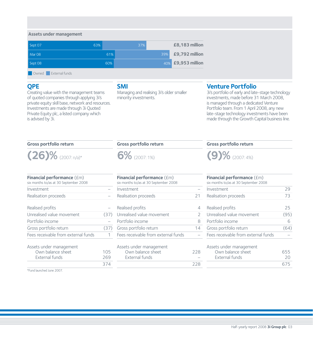675

## **Assets under management**

| Sept 07 | 63% |     | 37% |        | £8,183 million     |
|---------|-----|-----|-----|--------|--------------------|
| Mar 08  |     | 61% |     | $39\%$ | £9,792 million     |
| Sept 08 |     | 60% |     |        | 40% £9,953 million |

**Cowned** External funds

of quoted companies through applying 3i's private equity skill base, network and resources. Investments are made through 3i Quoted Private Equity plc, a listed company which

## **QPE** Creating value with the management teams

## **SMI**

Managing and realising 3i's older smaller minority investments.

## **Venture Portfolio**

3i's portfolio of early and late-stage technology investments, made before 31 March 2008, is managed through a dedicated Venture Portfolio team. From 1 April 2008, any new late-stage technology investments have been made through the Growth Capital business line.

## **Gross portfolio return**

is advised by 3i.

## **(26)%** (2007: n/a)\*

| Financial performance (£m)<br>six months to/as at 30 September 2008 |      |
|---------------------------------------------------------------------|------|
| Investment                                                          |      |
| Realisation proceeds                                                |      |
| Realised profits                                                    |      |
| Unrealised value movement                                           | (37) |
| Portfolio income                                                    |      |
| Gross portfolio return                                              | (37) |
| Fees receivable from external funds                                 |      |
| Assets under management                                             |      |

## Own balance sheet 105<br>External funds 169 External funds 374

## **Gross portfolio return**

**6%** (2007: 1%)

| Investment                          |    |
|-------------------------------------|----|
| Realisation proceeds                | 21 |
| Realised profits                    | 4  |
| Unrealised value movement           | 2  |
| Portfolio income                    | 8  |
| Gross portfolio return              | 14 |
| Fees receivable from external funds |    |

| Assets under management |     |
|-------------------------|-----|
| Own balance sheet       | 228 |
| External funds          |     |
|                         | つつR |

## **Gross portfolio return**

**(9)%** (2007: 4%)

## **Financial performance** (£m)

| six months to/as at 30 September 2008                          |      |
|----------------------------------------------------------------|------|
| Investment                                                     | 29   |
| Realisation proceeds                                           | 73   |
| Realised profits                                               | 25   |
| Unrealised value movement                                      | (95) |
| Portfolio income                                               | 6    |
| Gross portfolio return                                         | (64) |
| Fees receivable from external funds                            |      |
| Assets under management<br>Own balance sheet<br>External funds | 655  |

## \*Fund launched June 2007.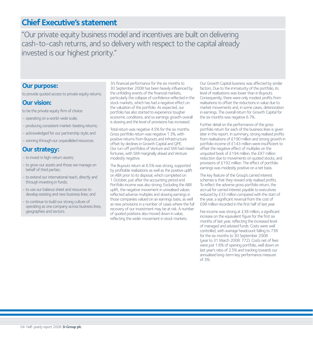## **Chief Executive's statement**

"Our private equity business model and incentives are built on delivering cash-to-cash returns, and so delivery with respect to the capital already invested is our highest priority."

## **Our purpose:**

to provide quoted access to private equity returns.

## **Our vision:**

to be the private equity firm of choice:

- operating on a world-wide scale;
- producing consistent market-beating returns;
- acknowledged for our partnership style; and
- winning through our unparalleled resources.

## **Our strategy:**

- to invest in high-return assets;
- to grow our assets and those we manage on behalf of third parties;
- to extend our international reach, directly and through investing in funds;
- to use our balance sheet and resources to develop existing and new business lines; and
- to continue to build our strong culture of operating as one company across business lines, geographies and sectors.

3i's financial performance for the six months to 30 September 2008 has been heavily influenced by the unfolding events of the financial markets, particularly the collapse of confidence reflected in the stock markets, which has had a negative effect on the valuation of the portfolio. As expected, our portfolio has also started to experience tougher economic conditions, and so earnings growth overall is slowing and the level of provisions has increased.

Total return was negative 4.5% for the six months. Gross portfolio return was negative 1.3%, with positive returns from Buyouts and Infrastructure offset by declines in Growth Capital and QPE. Our run-off portfolios of Venture and SMI had mixed fortunes, with SMI marginally ahead and Venture modestly negative.

The Buyouts return at 6.5% was strong, supported by profitable realisations as well as the positive uplift on ABX prior to its disposal, which completed on 1 October, just after the accounting period end. Portfolio income was also strong. Excluding the ABX uplift, the negative movement in unrealised values reflected adverse multiples and slowing earnings in those companies valued on an earnings basis, as well as new provisions in a number of cases where the full recovery of our investment may be at risk. A number of quoted positions also moved down in value, reflecting the wider movement in stock markets.

Our Growth Capital business was affected by similar factors. Due to the immaturity of the portfolio, its level of realisations was lower than in Buyouts. Consequently, there were only modest profits from realisations to offset the reductions in value due to market movements and, in some cases, deterioration in earnings. The overall return for Growth Capital for the six months was negative 6.7%.

Further detail on the performance of the gross portfolio return for each of the business lines is given later in this report. In summary, strong realised profits from realisations of £190 million and strong growth in portfolio income of £143 million were insufficient to offset the negative effect of multiples on the unquoted book of £194 million, the £87 million reduction due to movements on quoted stocks, and provisions of £192 million. The effect of portfolio earnings was modestly positive on a net basis.

The key feature of the Group's carried interest schemes is that they reward only realised profits. To reflect the adverse gross portfolio return, the accrual for carried interest payable to executives reduced by £33 million compared with the start of the year, a significant reversal from the cost of £98 million recorded in the first half of last year.

Fee income was strong at £38 million, a significant increase on the equivalent figure for the first six months of last year, reflecting the increased level of managed and advised funds. Costs were well controlled, with average headcount falling to 738 for the six months to 30 September 2008 (year to 31 March 2008: 772). Costs net of fees were just 1.6% of opening portfolio, well down on last year's ratio of 2.5% and tracking towards our annualised long-term key performance measure of 3%.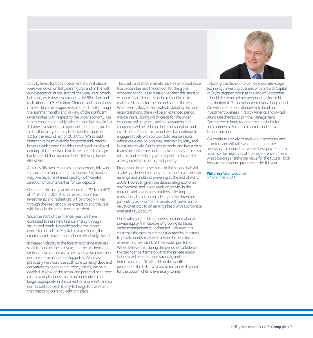Activity levels for both investment and realisations were well down on last year's figures and, in line with our expectation at the start of the year, were broadly balanced, with new investment of £668 million and realisations of £597 million. Mergers and acquisitions markets became progressively more difficult through the summer months and, in view of the significant uncertainties with respect to the wider economy, our teams chose to be highly selective and invested in just 10 new investments, a significant reduction from the first half of last year and also below the figure of 12 for the second half of 2007/08. Whilst debt financing remains available for certain mid-market buyouts with strong franchises and good visibility of earnings, it is otherwise hard to secure as the major banks rebuild their balance sheets following losses elsewhere.

As far as 3i's own resources are concerned, following the successful launch of a new convertible bond in May, we have maintained liquidity, with careful selection of counterparties for our deposits.

Gearing at the half year increased to 47% from 40% at 31 March 2008. It is our expectation that investments and realisations will be broadly in line through the year, and so we expect to end the year with broadly the same level of net debt.

Since the start of the financial year, we have continued to raise new finance, mainly through structured bonds. Notwithstanding the recent concerted effort to recapitalise major banks, the credit markets have recently been effectively closed.

Increased volatility in the foreign exchange markets since the end of the half year, and the weakening of sterling, have caused us to review how we implement our foreign exchange hedging policy. Whereas previously we would use both core currency debt and derivatives to hedge our currency assets, we have decided, in view of the actual and potential near-term cashflow implications, that using derivatives is no longer appropriate in the current environment, and so our revised approach is only to hedge to the extent that matching currency debt is in place.

The credit and stock markets have deteriorated since late September and the outlook for the global economy continues to weaken. Against this stressed economic backdrop, it is particularly difficult to make predictions for the second half of the year. What seems likely is that, notwithstanding the bank recapitalisations, there will be an extended period, maybe years, during which credit for the wider economy will be scarce, and so consumers and companies will be reducing both consumption and investment. During this period we shall continue to engage actively with our portfolio, realise assets where value can be obtained, maintain liquidity, and invest selectively. Our business model and investment teams' incentives are built on delivering cash-to-cash returns, and so delivery with respect to the capital already invested is our highest priority.

Progression in net asset value in the second half will, as always, depend on many factors, not least portfolio earnings and multiples prevailing at the end of March 2009. However, given the deteriorating economic environment, and lower levels of activity in the mergers and acquisitions markets affecting realisations, the outlook is clearly to the downside, particularly as a number of assets will move from a valuation at cost to an earnings basis with appropriate marketability discount.

Our strategy of building a diversified international private equity firm capable of growing its assets under management is unchanged. However, it is clear that the growth in funds allocated by investors to private equity may well slow in the near term as investors take stock of their wider portfolios. We do believe that during this period of turbulence the stronger performers within the private equity industry will become even stronger, and are determined that 3i will build on the significant progress of the last few years to remain well placed for the upturn when it eventually comes.



Following the decision to combine our late-stage technology investing business with Growth Capital, Jo Taylor stepped down at the end of September. I should like to record my personal thanks for his contribution to 3i's development over a long period. We welcomed Bob Stefanowski to head our investment business in North America and invited Bruno Deschamps to join the Management Committee to bring together responsibility for our continental European markets and certain Group functions.

We continue actively to review our processes and structure and will take whatever actions are necessary to ensure that we are best positioned to minimise the negatives of the current environment whilst building shareholder value for the future. I look forward to reporting progress at the full year.

**Philip Yea** Chief Executive 5 November 2008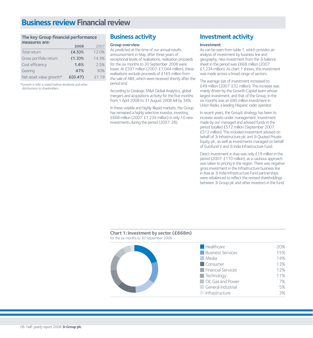## **Business review Financial review**

## **The key Group financial performance measures are:**

|                         | 2008      | 2007  |
|-------------------------|-----------|-------|
| Total return            | $(4.5)\%$ | 12.0% |
| Gross portfolio return  | (1.3)%    | 14.3% |
| Cost efficiency         | 1.6%      | 2.5%  |
| Gearing                 | 47%       | 30%   |
| Net asset value growth* | £(0.47)   | £1.19 |

\*Growth in NAV is stated before dividends and other distributions to shareholders.

## **Business activity**

#### **Group overview**

As predicted at the time of our annual results announcement in May, after three years of exceptional levels of realisations, realisation proceeds for the six months to 30 September 2008 were lower. At £597 million (2007: £1,044 million), these realisations exclude proceeds of £165 million from the sale of ABX, which were received shortly after the period end.

According to Dealogic M&A Global Analytics, global mergers and acquisitions activity for the five months from 1 April 2008 to 31 August 2008 fell by 34%.

In these volatile and highly illiquid markets, the Group has remained a highly selective investor, investing £668 million (2007: £1,234 million) in only 10 new investments during the period (2007: 28).

## **Investment activity**

#### **Investment**

As can be seen from table 1, which provides an analysis of investment by business line and geography, new investment from the 3i balance sheet in the period was £668 million (2007: £1,234 million). As chart 1 shows, this investment was made across a broad range of sectors.

The average size of investment increased to £49 million (2007: £32 million). This increase was mainly driven by the Growth Capital team whose largest investment, and that of the Group, in the six months was an £80 million investment in Union Radio, a leading Hispanic radio operator.

In recent years, the Group's strategy has been to increase assets under management. Investment made by our managed and advised funds in the period totalled £512 million (September 2007: £512 million). This included investment advised on behalf of 3i Infrastructure plc and 3i Quoted Private Equity plc, as well as investments managed on behalf of Eurofund V and 3i India Infrastructure Fund.

Direct investment in Asia was only £19 million in the period (2007: £110 million), as a cautious approach was taken to pricing in the region. There was negative gross investment in the Infrastructure business line in Asia as 3i India Infrastructure Fund partnerships were rebalanced to reflect the revised shareholdings between 3i Group plc and other investors in the fund.

#### **Chart 1: Investment by sector (£668m)**  for the six months to 30 September 2008

| Healthcare                | 20% |
|---------------------------|-----|
| <b>Business Services</b>  | 15% |
| Media                     | 14% |
| Consumer                  | 13% |
| Financial Services        | 12% |
| $\blacksquare$ Technology | 11% |
| Oil, Gas and Power        | 7%  |
| General Industrial        | 5%  |
| Infrastructure            | 3%  |
|                           |     |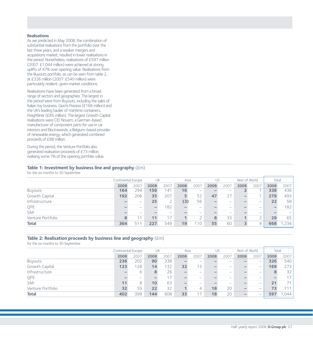### **Realisations**

As we predicted in May 2008, the combination of substantial realisations from the portfolio over the last three years, and a weaker mergers and acquisitions market, resulted in lower realisations in the period. Nonetheless, realisations of £597 million (2007: £1,044 million) were achieved at strong uplifts of 47% over opening value. Realisations from the Buyouts portfolio, as can be seen from table 2, at £326 million (2007: £540 million) were particularly resilient, given market conditions.

Realisations have been generated from a broad range of sectors and geographies. The largest in the period were from Buyouts, including the sales of Italian toy business, Giochi Preziosi (£166 million) and the UK's leading haulier of maritime containers, Freightliner (£85 million). The largest Growth Capital realisations were CID Novem, a German-based manufacturer of component parts for use in car interiors and Electrawinds, a Belgium-based provider of renewable energy, which generated combined proceeds of £88 million.

During the period, the Venture Portfolio also generated realisation proceeds of £73 million, realising some 7% of the opening portfolio value.

### **Table 1: Investment by business line and geography** (£m)

for the six months to 30 September

|                   | Continental Europe |      | UK   |      | Asia |                          | US   |      | Rest of World |      | Total |       |
|-------------------|--------------------|------|------|------|------|--------------------------|------|------|---------------|------|-------|-------|
|                   | 2008               | 2007 | 2008 | 2007 | 2008 | 2007                     | 2008 | 2007 | 2008          | 2007 | 2008  | 2007  |
| Buyouts           | 164                | 294  | 156  | 141  | 16   | $\overline{\phantom{a}}$ |      |      |               |      | 338   | 436   |
| Growth Capital    | 192                | 206  | 35   | 207  | 5.   | 52                       | 47   | 27   |               |      | 279   | 493   |
| Infrastructure    |                    | -    | 25   | 2    | (3)  | 56                       |      |      |               | -    | 22    | 58    |
| QPE               |                    | -    |      | 182  | -    | $\overline{\phantom{a}}$ |      |      |               | -    |       | 182   |
| SMI               |                    |      |      | -    |      | $\sim$                   |      |      |               |      |       |       |
| Venture Portfolio |                    | 11   | 11   | 17   |      |                          |      | 33   |               |      | 29    | 65    |
| <b>Total</b>      | 364                | 511  | 227  | 549  | 19   | 110                      | 55   | 60   |               |      | 668   | 1,234 |

## **Table 2: Realisation proceeds by business line and geography** (£m)

for the six months to 30 September

|                   | Continental Europe |      | UK   |      | Asia |      | US   |      | Rest of World |                          | Total |      |
|-------------------|--------------------|------|------|------|------|------|------|------|---------------|--------------------------|-------|------|
|                   | 2008               | 2007 | 2008 | 2007 | 2008 | 2007 | 2008 | 2007 | 2008          | 2007                     | 2008  | 2007 |
| Buyouts           | 236                | 202  | 90   | 338  | -    | -    |      |      |               | -                        | 326   | 540  |
| Growth Capital    | 123                | 128  | 14   | 132  | 32   | 13   |      | -    |               | $\overline{\phantom{m}}$ | 169   | 273  |
| Infrastructure    |                    | 6    | 8    | 26   |      |      |      |      |               |                          |       | 32   |
| QPE               |                    | -    |      | 17   |      |      |      |      |               | $\overline{\phantom{a}}$ |       | 17   |
| SMI               | 11                 | 8    | 10   | 63   |      | -    |      |      |               | $\overline{\phantom{a}}$ | 21    | 71   |
| Venture Portfolio | 32                 | 55   | 22   | 32   |      |      | 18   | 20   |               | $\overline{\phantom{a}}$ | 73    | 111  |
| <b>Total</b>      | 402                | 399  | 144  | 608  | 33   | 17   | 18   | 20   |               | $\overline{\phantom{a}}$ | 597   | ,044 |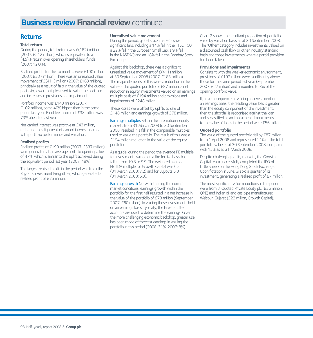## **Business review Financial review** continued

## **Returns**

## **Total return**

During the period, total return was £(182) million (2007: £512 million), which is equivalent to a (4.5)% return over opening shareholders' funds (2007: 12.0%).

Realised profits for the six months were £190 million (2007: £337 million). There was an unrealised value movement of £(411) million (2007: £183 million). principally as a result of falls in the value of the quoted portfolio, lower multiples used to value the portfolio and increases in provisions and impairments.

Portfolio income was £143 million (2007: £102 million), some 40% higher than in the same period last year. Fund fee income of £38 million was 73% ahead of last year.

Net carried interest was positive at £43 million, reflecting the alignment of carried interest accrued with portfolio performance and valuation.

## **Realised profits**

Realised profits of £190 million (2007: £337 million) were generated at an average uplift to opening value of 47%, which is similar to the uplift achieved during the equivalent period last year (2007: 48%).

The largest realised profit in the period was from the Buyouts investment Freightliner, which generated a realised profit of £75 million.

## **Unrealised value movement**

During the period, global stock markets saw significant falls, including a 14% fall in the FTSE 100, a 22% fall in the European Small Cap, a 9% fall in the NASDAQ and an 18% fall in the Bombay Stock Exchange.

Against this backdrop, there was a significant unrealised value movement of £(411) million at 30 September 2008 (2007: £183 million). The major elements of this were a reduction in the value of the quoted portfolio of £87 million, a net reduction in equity investments valued on an earnings multiple basis of £194 million and provisions and impairments of £248 million.

These losses were offset by uplifts to sale of £148 million and earnings growth of £78 million.

Earnings multiples Falls in the international equity markets from 31 March 2008 to 30 September 2008, resulted in a fall in the comparable multiples used to value the portfolio. The result of this was a £194 million reduction in the value of the equity portfolio.

As a guide, during the period the average PE multiple for investments valued on a like for like basis has fallen from 10.8 to 9.9. The weighted average EBITDA multiple for Growth Capital was 6.2 (31 March 2008: 7.2) and for Buyouts 5.8 (31 March 2008: 6.3).

Earnings growth Notwithstanding the current market conditions, earnings growth within the portfolio for the first half resulted in a net increase in the value of the portfolio of £78 million (September 2007: £60 million). In valuing those investments held on an earnings basis, typically, the latest audited accounts are used to determine the earnings. Given the more challenging economic backdrop, greater use has been made of forecast earnings in valuing the portfolio in this period (2008: 31%, 2007: 8%).

Chart 2 shows the resultant proportion of portfolio value by valuation basis as at 30 September 2008. The "Other" category includes investments valued on a discounted cash flow or other industry standard basis and those investments where a partial provision has been taken.

## **Provisions and impairments**

Consistent with the weaker economic environment, provisions of £192 million were significantly above those for the same period last year (September 2007: £27 million) and amounted to 3% of the opening portfolio value.

If, as a consequence of valuing an investment on an earnings basis, the resulting value loss is greater than the equity component of the investment, then the shortfall is recognised against the loan and is classified as an impairment. Impairments to the value of loans in the period were £56 million.

## **Quoted portfolio**

The value of the quoted portfolio fell by £87 million from 1 April 2008 and represented 14% of the total portfolio value as at 30 September 2008, compared with 15% as at 31 March 2008.

Despite challenging equity markets, the Growth Capital team successfully completed the IPO of Little Sheep on the Hong Kong Stock Exchange. Upon flotation in June, 3i sold a quarter of its investment, generating a realised profit of £7 million.

The most significant value reductions in the period were from 3i Quoted Private Equity plc (£36 million, QPE) and Indian oil and gas pipe manufacturer, Welspun Gujarat (£22 million, Growth Capital).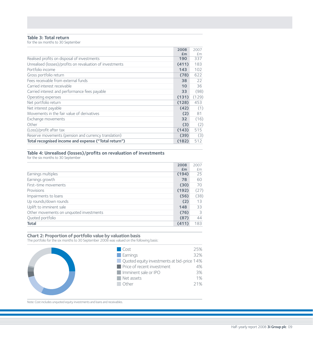## **Table 3: Total return**

for the six months to 30 September

|                                                           | 2008  | 2007  |
|-----------------------------------------------------------|-------|-------|
|                                                           | £m    | £m    |
| Realised profits on disposal of investments               | 190   | 337   |
| Unrealised (losses)/profits on revaluation of investments | (411) | 183   |
| Portfolio income                                          | 143   | 102   |
| Gross portfolio return                                    | (78)  | 622   |
| Fees receivable from external funds                       | 38    | 22    |
| Carried interest receivable                               | 10    | 36    |
| Carried interest and performance fees payable             | 33    | (98)  |
| Operating expenses                                        | (131) | (129) |
| Net portfolio return                                      | (128) | 453   |
| Net interest payable                                      | (42)  | (1)   |
| Movements in the fair value of derivatives                | (2)   | 81    |
| Exchange movements                                        | 32    | (16)  |
| Other                                                     | (3)   | (2)   |
| (Loss)/profit after tax                                   | (143) | 515   |
| Reserve movements (pension and currency translation)      | (39)  | (3)   |
| Total recognised income and expense ("Total return")      | (182) | 512   |

## **Table 4: Unrealised (losses)/profits on revaluation of investments**

for the six months to 30 September

|                                         | 2008  | 2007 |
|-----------------------------------------|-------|------|
|                                         | £m    | £m   |
| Earnings multiples                      | (194) | 25   |
| Earnings growth                         | 78    | 60   |
| First-time movements                    | (30)  | 70   |
| Provisions                              | (192) | (27) |
| Impairments to loans                    | (56)  | (38) |
| Up rounds/down rounds                   | (2)   | 13   |
| Uplift to imminent sale                 | 148   | 33   |
| Other movements on unquoted investments | (76)  | 3    |
| Quoted portfolio                        | (87)  | 44   |
| <b>Total</b>                            | (411) | 183  |

## **Chart 2: Proportion of portfolio value by valuation basis**

The portfolio for the six months to 30 September 2008 was valued on the following basis:



Note: Cost includes unquoted equity investments and loans and receivables.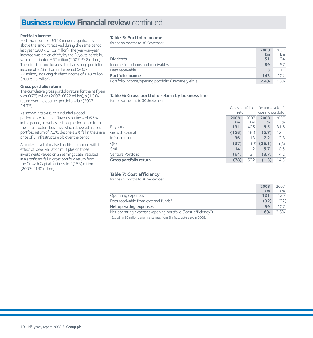## **Business review Financial review** continued

## **Portfolio income**

Portfolio income of £143 million is significantly above the amount received during the same period last year (2007: £102 million). The year-on-year increase was driven chiefly by the Buyouts portfolio, which contributed £67 million (2007: £48 million). The Infrastructure business line had strong portfolio income of £23 million in the period (2007: £6 million), including dividend income of £18 million (2007: £5 million).

## **Gross portfolio return**

The cumulative gross portfolio return for the half year was £(78) million (2007: £622 million), a (1.3)% return over the opening portfolio value (2007: 14.3%).

As shown in table 6, this included a good performance from our Buyouts business of 6.5% in the period, as well as a strong performance from the Infrastructure business, which delivered a gross portfolio return of 7.2%, despite a 2% fall in the share price of 3i Infrastructure plc over the period.

A modest level of realised profits, combined with the effect of lower valuation multiples on those investments valued on an earnings basis, resulted in a significant fall in gross portfolio return from the Growth Capital business to £(158) million (2007: £180 million).

## **Table 5: Portfolio income**

for the six months to 30 September

|                                                     | 2008 | 2007 |
|-----------------------------------------------------|------|------|
|                                                     | £m   | £m   |
| <b>Dividends</b>                                    | 51   | 34   |
| Income from loans and receivables                   | 89   | 57   |
| Fees receivable                                     |      |      |
| <b>Portfolio income</b>                             | 143  | 102  |
| Portfolio income/opening portfolio ("income yield") | 2.4% | 23%  |

## **Table 6: Gross portfolio return by business line**

for the six months to 30 September

|                        | Gross portfolio<br>return |      | Return as a % of<br>opening portfolio |      |
|------------------------|---------------------------|------|---------------------------------------|------|
|                        | 2008                      | 2007 | 2008                                  | 2007 |
|                        | £m                        | £m   | %                                     | %    |
| <b>Buyouts</b>         | 131                       | 405  | 6.5                                   | 31.6 |
| Growth Capital         | (158)                     | 180  | (6.7)                                 | 12.3 |
| Infrastructure         | 36                        | 13   | 7.2                                   | 2.8  |
| QPE                    | (37)                      | (9)  | (26.1)                                | n/a  |
| <b>SMI</b>             | 14                        | 2    | 5.7                                   | 0.5  |
| Venture Portfolio      | (64)                      | 31   | (8.7)                                 | 4.2  |
| Gross portfolio return | (78)                      | 622  | (1.3)                                 | 14.3 |

## **Table 7: Cost efficiency**

for the six months to 30 September

|                                                                           | 2008 | 2007           |
|---------------------------------------------------------------------------|------|----------------|
|                                                                           | £m   | f <sub>m</sub> |
| Operating expenses                                                        | 131  | 129            |
| Fees receivable from external funds*                                      | (32) | (22)           |
| Net operating expenses                                                    | 99   | 107            |
| Net operating expenses/opening portfolio ("cost efficiency")              | 1.6% | 2.5%           |
| *Eveluding C6 million performance fees from 2i Infrastructure als in 2009 |      |                |

 $\mu$ ding £6 million performance fees from 3i Infrastructure plc in 2008.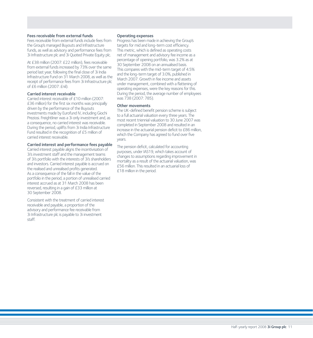### **Fees receivable from external funds**

Fees receivable from external funds include fees from the Group's managed Buyouts and Infrastructure funds, as well as advisory and performance fees from 3i Infrastructure plc and 3i Quoted Private Equity plc.

At £38 million (2007: £22 million), fees receivable from external funds increased by 73% over the same period last year, following the final close of 3i India Infrastructure Fund on 31 March 2008, as well as the receipt of performance fees from 3i Infrastructure plc of £6 million (2007: £nil).

### **Carried interest receivable**

Carried interest receivable of £10 million (2007: £36 million) for the first six months was principally driven by the performance of the Buyouts investments made by Eurofund IV, including Giochi Preziosi. Freightliner was a 3i only investment and, as a consequence, no carried interest was receivable. During the period, uplifts from 3i India Infrastructure Fund resulted in the recognition of £5 million of carried interest receivable.

### **Carried interest and performance fees payable**

Carried interest payable aligns the incentivisation of 3i's investment staff and the management teams of 3i's portfolio with the interests of 3i's shareholders and investors. Carried interest payable is accrued on the realised and unrealised profits generated. As a consequence of the fall in the value of the portfolio in the period, a portion of unrealised carried interest accrued as at 31 March 2008 has been reversed, resulting in a gain of £33 million at 30 September 2008.

Consistent with the treatment of carried interest receivable and payable, a proportion of the advisory and performance fee receivable from 3i Infrastructure plc is payable to 3i investment staff.

### **Operating expenses**

Progress has been made in achieving the Group's targets for mid and long-term cost efficiency. This metric, which is defined as operating costs net of management and advisory fee income as a percentage of opening portfolio, was 3.2% as at 30 September 2008 on an annualised basis. This compares with the mid-term target of 4.5% and the long-term target of 3.0%, published in March 2007. Growth in fee income and assets under management, combined with a flattening of operating expenses, were the key reasons for this. During the period, the average number of employees was 738 (2007: 785).

### **Other movements**

The UK-defined benefit pension scheme is subject to a full actuarial valuation every three years. The most recent triennial valuation to 30 June 2007 was completed in September 2008 and resulted in an increase in the actuarial pension deficit to £86 million, which the Company has agreed to fund over five years.

The pension deficit, calculated for accounting purposes, under IAS19, which takes account of changes to assumptions regarding improvement in mortality as a result of the actuarial valuation, was £56 million. This resulted in an actuarial loss of £18 million in the period.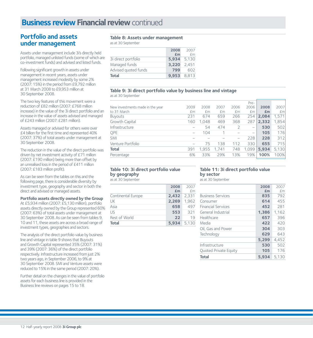## **Portfolio and assets under management**

Assets under management include 3i's directly held portfolio, managed unlisted funds (some of which are co-investment funds) and advised and listed funds.

Following significant growth in assets under management in recent years, assets under management increased modestly by some 2% (2007: 15%) in the period from £9,792 million at 31 March 2008 to £9,953 million at 30 September 2008.

The two key features of this movement were a reduction of £82 million (2007: £768 million increase) in the value of the 3i direct portfolio and an increase in the value of assets advised and managed of £243 million (2007: £281 million).

Assets managed or advised for others were over £4 billion for the first time and represented 40% (2007: 37%) of total assets under management at 30 September 2008.

The reduction in the value of the direct portfolio was driven by net investment activity of £71 million (2007: £190 million) being more than offset by an unrealised loss in the period of £411 million (2007: £183 million profit).

As can be seen from the tables on this and the following page, there is considerable diversity by investment type, geography and sector in both the direct and advised or managed assets.

### **Portfolio assets directly owned by the Group**

At £5,934 million (2007: £5,130 million), portfolio assets directly owned by the Group represented 60% (2007: 63%) of total assets under management at 30 September 2008. As can be seen from tables 9, 10 and 11, these assets are across a broad range of investment types, geographies and sectors.

The analysis of the direct portfolio value by business line and vintage in table 9 shows that Buyouts and Growth Capital represented 35% (2007: 31%) and 39% (2007: 36%) of the direct portfolio respectively. Infrastructure increased from just 2% two years ago, in September 2006, to 9% at 30 September 2008. SMI and Venture assets were reduced to 15% in the same period (2007: 20%).

Further detail on the changes in the value of portfolio assets for each business line is provided in the Business line reviews on pages 15 to 18.

## **Table 8: Assets under management**

as at 30 September

|                      | 2008        | 2007           |
|----------------------|-------------|----------------|
|                      | £m          | f <sub>m</sub> |
| 3i direct portfolio  |             | 5,934 5,130    |
| Managed funds        | 3,220 2,451 |                |
| Advised quoted funds | 799         | 602            |
| <b>Total</b>         | 9.953 8.813 |                |

### **Table 9: 3i direct portfolio value by business line and vintage**  as at 30 September

|                                  |      |       |       |                | Pre-                     |       |       |
|----------------------------------|------|-------|-------|----------------|--------------------------|-------|-------|
| New investments made in the year | 2009 | 2008  | 2007  | 2006           | 2006                     | 2008  | 2007  |
| to 31 March                      | £m   | £m    | £m    | £m             | Em                       | £m    | £m    |
| Buyouts                          | 231  | 674   | 659   | 266            | 254                      | 2,084 | 1,571 |
| Growth Capital                   | 160  | 1,048 | 469   | 368            | 287                      | 2,332 | 1,854 |
| Infrastructure                   |      | 54    | 474   | $\overline{2}$ | $\overline{\phantom{0}}$ | 530   | 502   |
| QPE                              | -    | 104   |       |                | $\overline{\phantom{0}}$ | 105   | 176   |
| <b>SMI</b>                       |      |       |       | -              | 228                      | 228   | 312   |
| Venture Portfolio                |      | 75    | 138   | 112            | 330                      | 655   | 715   |
| <b>Total</b>                     | 391  | 1,955 | 1.741 | 748            | 1.099                    | 5,934 | 5,130 |
| Percentage                       | 6%   | 33%   | 29%   | 13%            | 19%                      | 100%  | 100%  |
|                                  |      |       |       |                |                          |       |       |

## **Table 10: 3i direct portfolio value by geography**

as at 30 September

|                    | 2008<br>£m | 2007<br>£m |
|--------------------|------------|------------|
| Continental Europe | 2,432      | 2,331      |
| UK                 | 2,269      | 1,962      |
| Asia               | 658        | 497        |
| US                 | 553        | 321        |
| Rest of World      | 22         | 19         |
| <b>Total</b>       | 5.934      | 5.130      |

## **Table 11: 3i direct portfolio value by sector**

as at 30 September

|                           | 2008  | 2007  |
|---------------------------|-------|-------|
|                           | £m    | £m    |
| <b>Business Services</b>  | 835   | 792   |
| Consumer                  | 614   | 455   |
| <b>Financial Services</b> | 452   | 281   |
| General Industrial        | 1.386 | 1,162 |
| Healthcare                | 657   | 396   |
| Media                     | 422   | 420   |
| Oil, Gas and Power        | 304   | 303   |
| Technology                | 629   | 643   |
|                           | 5.299 | 4.452 |
| Infrastructure            | 530   | 502   |
| Quoted Private Equity     | 105   | 176   |
| <b>Total</b>              | 5.934 | 5.130 |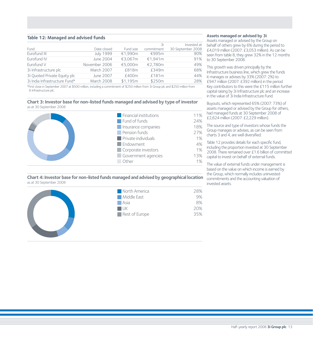### **Table 12: Managed and advised funds**

|                               |                   |           | 3i         | Invested at       |
|-------------------------------|-------------------|-----------|------------|-------------------|
| Fund                          | Date closed       | Fund size | commitment | 30 September 2008 |
| Eurofund III                  | <b>July 1999</b>  | €1,990m   | €995m      | 90%               |
| Eurofund IV                   | June 2004         | €3,067m   | €1,941m    | 91%               |
| Eurofund V                    | November 2006     | €5.000m   | €2.780m    | 49%               |
| 3i Infrastructure plc         | March 2007        | £818m     | £349m      | 68%               |
| 3i Quoted Private Equity plc  | June 2007         | £400m     | £181m      | 44%               |
| 3i India Infrastructure Fund* | <b>March 2008</b> | \$1,195m  | \$250m     | 28%               |
|                               |                   |           |            |                   |

\*First close in September 2007 at \$500 million, including a commitment of \$250 million from 3i Group plc and \$250 million from 3i Infrastructure plc.

### **Chart 3: Investor base for non-listed funds managed and advised by type of investor**  as at 30 September 2008



**Chart 4: Investor base for non-listed funds managed and advised by geographical location**  as at 30 September 2008



### **Assets managed or advised by 3i**

Assets managed or advised by the Group on behalf of others grew by 6% during the period to £4,019 million (2007: £3,053 million). As can be seen from table 8, they grew 32% in the 12 months to 30 September 2008.

This growth was driven principally by the Infrastructure business line, which grew the funds it manages or advises by 33% (2007: 2%) to £947 million (2007: £392 million) in the period. Key contributors to this were the £115 million further capital raising by 3i Infrastructure plc and an increase in the value of 3i India Infrastructure Fund.

Buyouts, which represented 65% (2007: 73%) of assets managed or advised by the Group for others, had managed funds at 30 September 2008 of £2,624 million (2007: £2,229 million).

The source and type of investors whose funds the Group manages or advises, as can be seen from charts 3 and 4, are well diversified.

Table 12 provides details for each specific fund, including the proportion invested at 30 September 2008. There remained over £1.6 billion of committed capital to invest on behalf of external funds.

The value of external funds under management is based on the value on which income is earned by the Group, which normally includes uninvested commitments and the accounting valuation of invested assets.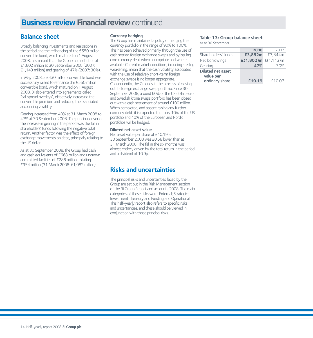## **Business review Financial review** continued

## **Balance sheet**

Broadly balancing investments and realisations in the period and the refinancing of the €550 million convertible bond, which matured on 1 August 2008, has meant that the Group had net debt of £1,802 million at 30 September 2008 (2007: £1,143 million) and gearing of 47% (2007: 30%).

In May 2008, a £430 million convertible bond was successfully raised to refinance the €550 million convertible bond, which matured on 1 August 2008. 3i also entered into agreements called "call spread overlays", effectively increasing the convertible premium and reducing the associated accounting volatility.

Gearing increased from 40% at 31 March 2008 to 47% at 30 September 2008. The principal driver of the increase in gearing in the period was the fall in shareholders' funds following the negative total return. Another factor was the effect of foreign exchange movements on debt, principally relating to the US dollar.

As at 30 September 2008, the Group had cash and cash equivalents of £668 million and undrawn committed facilities of £286 million, totalling £954 million (31 March 2008: £1,082 million).

## **Currency hedging**

The Group has maintained a policy of hedging the currency portfolio in the range of 90% to 100%. This has been achieved primarily through the use of cash settled foreign exchange swaps and by issuing core currency debt when appropriate and where available. Current market conditions, including sterling weakening, mean that the cash volatility associated with the use of relatively short-term foreign exchange swaps is no longer appropriate. Consequently, the Group is in the process of closing out its foreign exchange swap portfolio. Since 30 September 2008, around 60% of the US dollar, euro and Swedish krona swaps portfolio has been closed out with a cash settlement of around £100 million. When completed, and absent raising any further currency debt, it is expected that only 10% of the US portfolio and 40% of the European and Nordic portfolios will be hedged.

## **Diluted net asset value**

Net asset value per share of £10.19 at 30 September 2008 was £0.58 lower than at 31 March 2008. The fall in the six months was almost entirely driven by the total return in the period and a dividend of 10.9p.

## **Risks and uncertainties**

The principal risks and uncertainties faced by the Group are set out in the Risk Management section of the 3i Group Report and accounts 2008. The main categories of these risks were: External; Strategic; Investment; Treasury and Funding and Operational. This half-yearly report also refers to specific risks and uncertainties, and these should be viewed in conjunction with those principal risks.

## **Table 13: Group balance sheet**

as at 30 September

|                                       | 2008                   | 2007    |
|---------------------------------------|------------------------|---------|
| Shareholders' funds                   | £3,852m                | £3,844m |
| Net borrowings                        | £(1,802)m $E(1,143)$ m |         |
| Gearing                               | 47%                    | 30%     |
| <b>Diluted net asset</b><br>value per |                        |         |
| ordinary share                        | £10.19                 | £10.07  |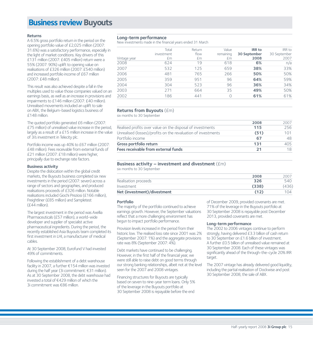## **Business review Buyouts**

### **Returns**

A 6.5% gross portfolio return in the period on the opening portfolio value of £2,025 million (2007: 31.6%) was a satisfactory performance, especially in the light of market conditions. Key drivers of this £131 million (2007: £405 million) return were a 55% (2007: 90%) uplift to opening value on realisations of £326 million (2007: £540 million) and increased portfolio income of £67 million (2007: £48 million).

This result was also achieved despite a fall in the multiples used to value those companies valued on an earnings basis, as well as an increase in provisions and impairments to £146 million (2007: £40 million). Unrealised movements included an uplift to sale on ABX, the Belgium-based logistics business of £148 million.

The quoted portfolio generated £6 million (2007: £75 million) of unrealised value increase in the period, largely as a result of a £15 million increase in the value of 3i's investment in Telecity plc.

Portfolio income was up 40% to £67 million (2007: £48 million). Fees receivable from external funds of £21 million (2007: £18 million) were higher, principally due to exchange rate factors.

### **Business activity**

Despite the dislocation within the global credit markets, the Buyouts business completed six new investments in the period (2007: seven) across a range of sectors and geographies, and produced realisations proceeds of £326 million. Notable realisations included Giochi Preziosi (£166 million), Freightliner (£85 million) and Sampletest (£44 million).

The largest investment in the period was Axellia Pharmaceuticals (£57 million), a world-wide developer and supplier of specialist active pharmaceutical ingredients. During the period, the recently established Asia Buyouts team completed its first investment in LHI, a manufacturer of medical cables.

At 30 September 2008, Eurofund V had invested 49% of commitments.

Following the establishment of a debt warehouse facility in 2007, a further €154 million was invested during the half year (3i commitment: €31 million). As at 30 September 2008, the debt warehouse had invested a total of €429 million of which the 3i commitment was €86 million.

## **Long-term performance**

New investments made in the financial years ended 31 March

|              | Total<br>investment | Return<br>flow | Value<br>remaining | <b>IRR</b> to<br>30 September | IRR to<br>30 September |
|--------------|---------------------|----------------|--------------------|-------------------------------|------------------------|
| Vintage year | £m                  | £m             | £m                 | 2008                          | 2007                   |
| 2008         | 624                 | 19             | 618                | 6%                            | n/a                    |
| 2007         | 532                 | 125            | 659                | 38%                           | 33%                    |
| 2006         | 481                 | 765            | 266                | 50%                           | 50%                    |
| 2005         | 359                 | 951            | 96                 | 64%                           | 59%                    |
| 2004         | 304                 | 523            | 96                 | 36%                           | 34%                    |
| 2003         | 271                 | 664            | 35                 | 49%                           | 50%                    |
| 2002         | 186                 | 441            | 0                  | 61%                           | 61%                    |

## **Returns from Buyouts** (£m)

six months to 30 September

|                                                               | 2008 | 2007 |
|---------------------------------------------------------------|------|------|
| Realised profits over value on the disposal of investments    | 115  | 256  |
| Unrealised (losses)/profits on the revaluation of investments | (51) | 101  |
| Portfolio income                                              | 67   | 48.  |
| Gross portfolio return                                        | 131  | 405  |
| Fees receivable from external funds                           | -21  | 18   |

## **Business activity – investment and divestment** (£m)

six months to 30 September

| Net (investment)/divestment | (12)  | 104   |
|-----------------------------|-------|-------|
| Investment                  | (338) | (436) |
| Realisation proceeds        | 326   | 540   |
|                             | 2008  | 2007  |

## **Portfolio**

The majority of the portfolio continued to achieve earnings growth. However, the September valuations reflect that a more challenging environment has begun to impact portfolio performance.

Provision levels increased in the period from their historic low. The realised loss rate since 2001 was 2% (September 2007: 1%) and the aggregate provisions rate was 8% (September 2007: 4%).

Debt markets have continued to be challenging. However, in the first half of the financial year, we were still able to raise debt on good terms through our strong banking relationships, albeit not at the level seen for the 2007 and 2008 vintages.

Financing structures for Buyouts are typically based on seven to nine-year term loans. Only 5% of the leverage in the Buyouts portfolio at 30 September 2008 is repayable before the end

of December 2009, provided covenants are met. 71% of the leverage in the Buyouts portfolio at 30 September 2008 is repayable post December 2013, provided covenants are met.

### **Long-term performance**

The 2002 to 2006 vintages continue to perform strongly, having delivered £3.3 billion of cash return to 30 September on £1.6 billion of investment. A further £0.5 billion of unrealised value remained at 30 September 2008. Each of these vintages was significantly ahead of the through-the-cycle 20% IRR target.

The 2007 vintage has already delivered good liquidity, including the partial realisation of Dockwise and post 30 September 2008, the sale of ABX.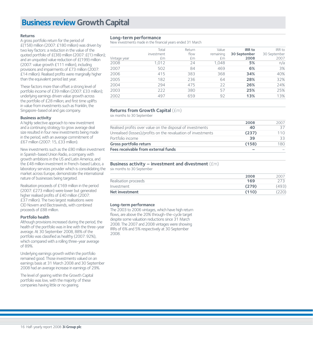## **Business review Growth Capital**

## **Returns**

A gross portfolio return for the period of £(158) million (2007: £180 million) was driven by two key factors: a reduction in the value of the quoted portfolio of £(38) million (2007: £(1) million); and an unquoted value reduction of £(199) million (2007: value growth £111 million), including provisions and impairments of £73 million (2007: £14 million). Realised profits were marginally higher than the equivalent period last year.

These factors more than offset a strong level of portfolio income of £39 million (2007: £33 million); underlying earnings driven value growth across the portfolio of £28 million; and first time uplifts in value from investments such as Franklin, the Singapore-based oil and gas company.

### **Business activity**

A highly selective approach to new investment and a continuing strategy to grow average deal size resulted in four new investments being made in the period, with an average commitment of £67 million (2007: 15, £33 million).

New investments such as the £80 million investment in Spanish-based Union Radio, a company with growth ambitions in the US and Latin America, and the £48 million investment in French-based Labco, a laboratory services provider which is consolidating the market across Europe, demonstrate the international nature of businesses being targeted.

Realisation proceeds of £169 million in the period (2007: £273 million) were lower but generated higher realised profits of £40 million (2007: £37 million). The two largest realisations were CID Novem and Electrawinds, with combined proceeds of £88 million.

### **Portfolio health**

Although provisions increased during the period, the health of the portfolio was in line with the three-year average. At 30 September 2008, 88% of the portfolio was classified as healthy (2007: 92%), which compared with a rolling three-year average of 89%.

Underlying earnings growth within the portfolio remained good. Those investments valued on an earnings basis at 31 March 2008 and 30 September 2008 had an average increase in earnings of 29%.

The level of gearing within the Growth Capital portfolio was low, with the majority of these companies having little or no gearing.

## **Long-term performance**

New investments made in the financial years ended 31 March

|              | Total      | Return | Value     | <b>IRR</b> to | <b>IRR</b> to |
|--------------|------------|--------|-----------|---------------|---------------|
|              | investment | flow   | remaining | 30 September  | 30 September  |
| Vintage year | £m         | £m     | £m        | 2008          | 2007          |
| 2008         | 1,012      | 24     | 1,048     | 5%            | n/a           |
| 2007         | 502        | 84     | 469       | 6%            | 3%            |
| 2006         | 415        | 383    | 368       | 34%           | 40%           |
| 2005         | 182        | 236    | 64        | 28%           | 32%           |
| 2004         | 294        | 475    | 22        | 26%           | 24%           |
| 2003         | 222        | 380    | 57        | 25%           | 25%           |
| 2002         | 497        | 659    | 92        | 13%           | 13%           |

## **Returns from Growth Capital** (£m)

six months to 30 September

|                                                               | 2008  | 2007 |
|---------------------------------------------------------------|-------|------|
| Realised profits over value on the disposal of investments    | 40    | 37   |
| Unrealised (losses)/profits on the revaluation of investments | (237) | 110  |
| Portfolio income                                              | 39    | ろろ   |
| Gross portfolio return                                        | (158) | 180  |
| Fees receivable from external funds                           |       |      |

## **Business activity – investment and divestment** (£m)

six months to 30 September

| <b>Net investment</b> | (110) | (220) |
|-----------------------|-------|-------|
| Investment            | (279) | (493) |
| Realisation proceeds  | 169   | 773   |
|                       | 2008  | 2007  |

## **Long-term performance**

The 2003 to 2006 vintages, which have high return flows, are above the 20% through-the-cycle target despite some valuation reductions since 31 March 2008. The 2007 and 2008 vintages were showing IRRs of 6% and 5% respectively at 30 September 2008.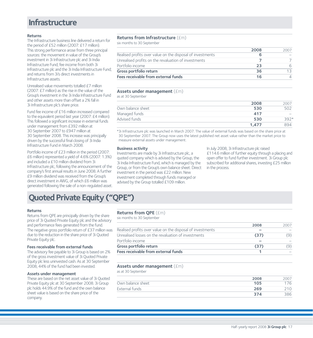## **Infrastructure**

### **Returns**

The Infrastructure business line delivered a return for the period of £52 million (2007: £17 million). This strong performance arose from three principal sources: the movement in value of the Group's investment in 3i Infrastructure plc and 3i India Infrastructure Fund; fee income from both 3i Infrastructure plc and the 3i India Infrastructure Fund; and returns from 3i's direct investments in Infrastructure assets.

Unrealised value movements totalled £7 million (2007: £7 million) as the rise in the value of the Group's investment in the 3i India Infrastructure Fund and other assets more than offset a 2% fall in 3i Infrastructure plc's share price.

Fund fee income of £16 million increased compared to the equivalent period last year (2007: £4 million). This followed a significant increase in external funds under management from £392 million at 30 September 2007 to £947 million at 30 September 2008. This increase was principally driven by the successful final closing of 3i India Infrastructure Fund in March 2008.

Portfolio income of £23 million in the period (2007: £6 million) represented a yield of 4.6% (2007: 1.3%) and included a £10 million dividend from 3i Infrastructure plc, following the announcement of the company's first annual results in June 2008. A further £9 million dividend was received from the Group's direct investment in AWG, of which £6 million was generated following the sale of a non-regulated asset.

## **Returns from Infrastructure** (£m)

six months to 30 September

|                                                            | 2008 | 2007 |
|------------------------------------------------------------|------|------|
| Realised profits over value on the disposal of investments |      |      |
| Unrealised profits on the revaluation of investments       |      |      |
| Portfolio income                                           | 23   | 6.   |
| Gross portfolio return                                     | 36   | 13   |
| Fees receivable from external funds                        | 16   |      |

## **Assets under management** (£m)

as at 30 September

|                   | 2008  | 2007   |
|-------------------|-------|--------|
| Own balance sheet | 530   | 502    |
| Managed funds     | 417   | -      |
| Advised funds     | 530   | $302*$ |
|                   | 1.477 | 894    |

\*3i Infrastructure plc was launched in March 2007. The value of external funds was based on the share price at 30 September 2007. The Group now uses the latest published net asset value rather than the market price to measure external assets under management.

## **Business activity**

Investments are made by 3i Infrastructure plc, a quoted company which is advised by the Group, the 3i India Infrastructure Fund, which is managed by the Group, or from the Group's own balance sheet. Direct investment in the period was £22 million. New investment completed through funds managed or advised by the Group totalled £109 million.

In July 2008, 3i Infrastructure plc raised £114.6 million of further equity through a placing and open offer to fund further investment. 3i Group plc subscribed for additional shares, investing £25 million in the process.

## **Quoted Private Equity ("QPE")**

## **Returns**

Returns from QPE are principally driven by the share price of 3i Quoted Private Equity plc and the advisory and performance fees generated from the fund. The negative gross portfolio return of £37 million was due to the reduction in the share price of 3i Quoted Private Equity plc.

## **Fees receivable from external funds**

The advisory fee payable to 3i Group is based on 2% of the gross investment value of 3i Quoted Private Equity plc less uninvested cash. As at 30 September 2008, 44% of the fund had been invested.

## **Assets under management**

These are based on the net asset value of 3i Quoted Private Equity plc at 30 September 2008. 3i Group plc holds 44.9% of the fund and the own balance sheet value is based on the share price of the company.

## **Returns from QPE** (£m)

six months to 30 September

|                                                            | 2008 | 2007 |
|------------------------------------------------------------|------|------|
| Realised profits over value on the disposal of investments |      |      |
| Unrealised losses on the revaluation of investments        | (37) | (9)  |
| Portfolio income                                           |      |      |
| Gross portfolio return                                     | (37) | (9)  |
| Fees receivable from external funds                        |      |      |

## **Assets under management** (£m)

as at 30 September

|                   | 2008 |     |
|-------------------|------|-----|
| Own balance sheet | 105  | 76  |
| External funds    | 269  |     |
|                   |      | 386 |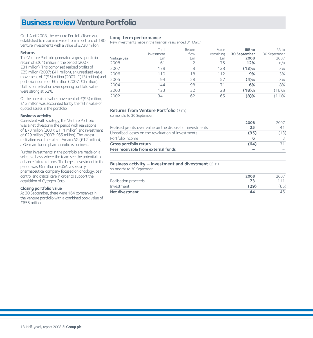## **Business review Venture Portfolio**

On 1 April 2008, the Venture Portfolio Team was established to maximise value from a portfolio of 180 venture investments with a value of £738 million.

### **Returns**

The Venture Portfolio generated a gross portfolio return of £(64) million in the period (2007: £31 million). This comprised realised profits of £25 million (2007: £41 million), an unrealised value movement of £(95) million (2007: £(13) million) and portfolio income of £6 million (2007: £3 million). Uplifts on realisation over opening portfolio value were strong at 52%.

Of the unrealised value movement of £(95) million, £12 million was accounted for by the fall in value of quoted assets in the portfolio.

### **Business activity**

Consistent with strategy, the Venture Portfolio was a net divestor in the period with realisations of £73 million (2007: £111 million) and investment of £29 million (2007: £65 million). The largest realisation was the sale of Amaxa AG (£12 million), a German-based pharmaceuticals business.

Further investments in the portfolio are made on a selective basis where the team see the potential to enhance future returns. The largest investment in the period was £5 million in EUSA, a specialty pharmaceutical company focused on oncology, pain control and critical care in order to support the acquisition of Cytogen Corp.

## **Closing portfolio value**

At 30 September, there were 164 companies in the Venture portfolio with a combined book value of £655 million.

## **Long-term performance**

New investments made in the financial years ended 31 March

|              | Total      | Return | Value     | <b>IRR</b> to | IRR to       |
|--------------|------------|--------|-----------|---------------|--------------|
|              | investment | flow   | remaining | 30 September  | 30 September |
| Vintage year | £m         | Em     | £m        | 2008          | 2007         |
| 2008         | 61         |        | 75        | 12%           | n/a          |
| 2007         | 178        | 8      | 138       | (13)%         | 3%           |
| 2006         | 110        | 18     | 112       | 9%            | 3%           |
| 2005         | 94         | 28     | 57        | (4)%          | 3%           |
| 2004         | 144        | 98     | 71        | 6%            | 8%           |
| 2003         | 123        | 32     | 28        | (18)%         | $(16)$ %     |
| 2002         | 341        | 162    | 65        | $(8)$ %       | (11)%        |

## **Returns from Venture Portfolio** (£m)

six months to 30 September

|                                                            | 2008 | 2007 |
|------------------------------------------------------------|------|------|
| Realised profits over value on the disposal of investments | 25   |      |
| Unrealised losses on the revaluation of investments        | (95) | (13) |
| Portfolio income                                           |      |      |
| Gross portfolio return                                     | (64) |      |
| Fees receivable from external funds                        |      |      |

## **Business activity – investment and divestment** (£m)

six months to 30 September

| Net divestment       | 44   | 46   |
|----------------------|------|------|
| Investment           | (29) | (65) |
| Realisation proceeds | 73   | 111  |
|                      | 2008 | 2007 |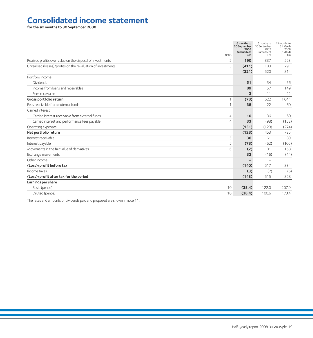## **Consolidated income statement**

**for the six months to 30 September 2008** 

|                                                               |                | 6 months to<br>30 September<br>2008 | 6 months to<br>30 September<br>2007 | 12 months to<br>31 March<br>2008 |
|---------------------------------------------------------------|----------------|-------------------------------------|-------------------------------------|----------------------------------|
|                                                               | Notes          | (unaudited)<br>£m                   | (unaudited)<br>£m                   | (audited)<br>£m                  |
| Realised profits over value on the disposal of investments    | 2              | 190                                 | 337                                 | 523                              |
| Unrealised (losses)/profits on the revaluation of investments | 3              | (411)                               | 183                                 | 291                              |
|                                                               |                | (221)                               | 520                                 | 814                              |
| Portfolio income                                              |                |                                     |                                     |                                  |
| Dividends                                                     |                | 51                                  | 34                                  | 56                               |
| Income from loans and receivables                             |                | 89                                  | 57                                  | 149                              |
| Fees receivable                                               |                | 3                                   | 11                                  | 22                               |
| Gross portfolio return                                        | 1              | (78)                                | 622                                 | 1,041                            |
| Fees receivable from external funds                           | 1              | 38                                  | 22                                  | 60                               |
| Carried interest                                              |                |                                     |                                     |                                  |
| Carried interest receivable from external funds               | $\overline{4}$ | 10                                  | 36                                  | 60                               |
| Carried interest and performance fees payable                 | 4              | 33                                  | (98)                                | (152)                            |
| Operating expenses                                            |                | (131)                               | (129)                               | (274)                            |
| Net portfolio return                                          |                | (128)                               | 453                                 | 735                              |
| Interest receivable                                           | 5              | 36                                  | 61                                  | 89                               |
| Interest payable                                              | 5              | (78)                                | (62)                                | (105)                            |
| Movements in the fair value of derivatives                    | 6              | (2)                                 | 81                                  | 158                              |
| Exchange movements                                            |                | 32                                  | (16)                                | (44)                             |
| Other income                                                  |                |                                     |                                     |                                  |
| (Loss)/profit before tax                                      |                | (140)                               | 517                                 | 834                              |
| Income taxes                                                  |                | (3)                                 | (2)                                 | (6)                              |
| (Loss)/profit after tax for the period                        |                | (143)                               | 515                                 | 828                              |
| Earnings per share                                            |                |                                     |                                     |                                  |
| Basic (pence)                                                 | 10             | (38.4)                              | 122.0                               | 207.9                            |
| Diluted (pence)                                               | 10             | (38.4)                              | 100.6                               | 173.4                            |

The rates and amounts of dividends paid and proposed are shown in note 11.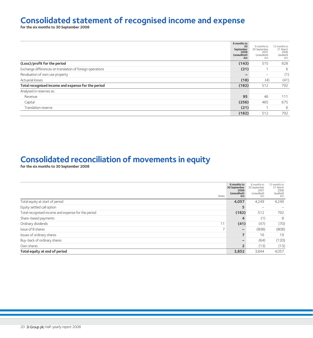### **Consolidated statement of recognised income and expense**

**for the six months to 30 September 2008** 

|                                                           | 6 months to<br>30<br>September<br>2008<br>(unaudited)<br>£m | 6 months to<br>30 September<br>2007<br>(unaudited)<br>£m | 12 months to<br>31 March<br>2008<br>(audited)<br>£m |
|-----------------------------------------------------------|-------------------------------------------------------------|----------------------------------------------------------|-----------------------------------------------------|
| (Loss)/profit for the period                              | (143)                                                       | 515                                                      | 828                                                 |
| Exchange differences on translation of foreign operations | (21)                                                        |                                                          | 6                                                   |
| Revaluation of own use property                           |                                                             | $\overline{\phantom{m}}$                                 | (1)                                                 |
| Actuarial losses                                          | (18)                                                        | (4)                                                      | (41)                                                |
| Total recognised income and expense for the period        | (182)                                                       | 512                                                      | 792                                                 |
| Analysed in reserves as:                                  |                                                             |                                                          |                                                     |
| Revenue                                                   | 95                                                          | 46                                                       | 111                                                 |
| Capital                                                   | (256)                                                       | 465                                                      | 675                                                 |
| Translation reserve                                       | (21)                                                        |                                                          | 6                                                   |
|                                                           | (182)                                                       | 512                                                      | 792                                                 |

## **Consolidated reconciliation of movements in equity**

**for the six months to 30 September 2008** 

| Notes                                              | 6 months to<br>30 September<br>2008<br>(unaudited)<br>£m | 6 months to<br>30 September<br>2007<br>(unaudited)<br>£m | 12 months to<br>31 March<br>2008<br>(audited)<br>£m |
|----------------------------------------------------|----------------------------------------------------------|----------------------------------------------------------|-----------------------------------------------------|
| Total equity at start of period                    | 4,057                                                    | 4,249                                                    | 4,249                                               |
| Equity settled call option                         |                                                          | $\overline{\phantom{0}}$                                 |                                                     |
| Total recognised income and expense for the period | (182)                                                    | 512                                                      | 792                                                 |
| Share-based payments                               | 4                                                        | (1)                                                      | 8                                                   |
| Ordinary dividends<br>11                           | (41)                                                     | (47)                                                     | (70)                                                |
| Issue of B shares                                  |                                                          | (808)                                                    | (808)                                               |
| Issues of ordinary shares                          |                                                          | 16                                                       | 19                                                  |
| Buy-back of ordinary shares                        |                                                          | (64)                                                     | (120)                                               |
| Own shares                                         |                                                          | (13)                                                     | (13)                                                |
| Total equity at end of period                      | 3,852                                                    | 3.844                                                    | 4,057                                               |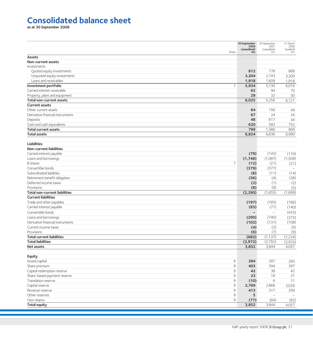## **Consolidated balance sheet**

**as at 30 September 2008** 

| 2007<br>2008<br>(unaudited)<br>(unaudited)<br>(audited)<br>Notes<br>£m<br>£m<br>£m<br><b>Assets</b><br>Non-current assets<br>Investments<br>812<br>778<br>889<br>Quoted equity investments<br>2,743<br>3,209<br>Unquoted equity investments<br>3,204<br>1,609<br>Loans and receivables<br>1,918<br>1,918<br>Investment portfolio<br>5,934<br>5,130<br>6,016<br>$\mathbf{1}$<br>94<br>Carried interest receivable<br>62<br>75<br>29<br>32<br>30<br>Property, plant and equipment<br>6,025<br>5,256<br><b>Total non-current assets</b><br>6,121<br>156<br>64<br>49<br>Derivative financial instruments<br>67<br>24<br>24<br>48<br>617<br>44<br>Deposits<br>620<br>583<br>Cash and cash equivalents<br>752<br>799<br>1,380<br>869<br>6,636<br>6,824<br>6,990<br><b>Liabilities</b><br><b>Non-current liabilities</b><br>Carried interest payable<br>(145)<br>(79)<br>(110)<br>(1,087)<br>Loans and borrowings<br>(1,746)<br>(1,509)<br><b>B</b> shares<br>7<br>(12)<br>(21)<br>(21)<br>Convertible bonds<br>(377)<br>(379)<br>$\sim$<br>(14)<br>Subordinated liabilities<br>(8)<br>(11)<br>Retirement benefit obligation<br>(4)<br>(56)<br>(38)<br>Deferred income taxes<br>(2)<br>(1)<br>(2)<br>Provisions<br>(8)<br>(9)<br>(5)<br>(2, 290)<br>(1,655)<br><b>Total non-current liabilities</b><br>(1,699)<br><b>Current liabilities</b><br>Trade and other payables<br>(185)<br>(197)<br>(166)<br>Carried interest payable<br>(83)<br>(71)<br>(140)<br>Convertible bonds<br>(433)<br>$\equiv$<br>Loans and borrowings<br>(373)<br>(290)<br>(740)<br>Derivative financial instruments<br>(102)<br>(131)<br>(108)<br>Current income taxes<br>(4)<br>(3)<br>(5)<br>Provisions<br>(6)<br>(7)<br>(9)<br><b>Total current liabilities</b><br>(1, 137)<br>(1, 234)<br>(682)<br><b>Total liabilities</b><br>(2,972)<br>(2,792)<br>(2, 933)<br>3,852<br>3,844<br><b>Net assets</b><br>4,057<br>Equity<br>8<br>284<br>287<br>283<br>$\mathcal{G}% _{M_{1},M_{2}}^{\alpha,\beta}(\varepsilon)$<br>403<br>394<br>397<br>9<br>42<br>38<br>42<br>9<br>23<br>18<br>21<br>$\mathcal{G}% _{M_{1},M_{2}}^{\alpha,\beta}(\varepsilon)$<br>$\,$ 6<br>(10)<br>11<br>$\mathcal{G}% _{0}$<br>3,026<br>2,769<br>2,868<br>9<br>413<br>317<br>359<br>$\mathcal{G}% _{M_{1},M_{2}}^{\alpha,\beta}(\varepsilon)$<br>5<br>$\equiv$<br>9<br>(84)<br>(77)<br>(82)<br>4,057<br>3,852<br>3,844 |                             | 30 September<br>2008 | 30 September | 31 March |
|-------------------------------------------------------------------------------------------------------------------------------------------------------------------------------------------------------------------------------------------------------------------------------------------------------------------------------------------------------------------------------------------------------------------------------------------------------------------------------------------------------------------------------------------------------------------------------------------------------------------------------------------------------------------------------------------------------------------------------------------------------------------------------------------------------------------------------------------------------------------------------------------------------------------------------------------------------------------------------------------------------------------------------------------------------------------------------------------------------------------------------------------------------------------------------------------------------------------------------------------------------------------------------------------------------------------------------------------------------------------------------------------------------------------------------------------------------------------------------------------------------------------------------------------------------------------------------------------------------------------------------------------------------------------------------------------------------------------------------------------------------------------------------------------------------------------------------------------------------------------------------------------------------------------------------------------------------------------------------------------------------------------------------------------------------------------------------------------------------------------------------------------------------------------------------------------------------------------------------------------------------------------------------------------------------------------------------------------------------------|-----------------------------|----------------------|--------------|----------|
|                                                                                                                                                                                                                                                                                                                                                                                                                                                                                                                                                                                                                                                                                                                                                                                                                                                                                                                                                                                                                                                                                                                                                                                                                                                                                                                                                                                                                                                                                                                                                                                                                                                                                                                                                                                                                                                                                                                                                                                                                                                                                                                                                                                                                                                                                                                                                             |                             |                      |              |          |
|                                                                                                                                                                                                                                                                                                                                                                                                                                                                                                                                                                                                                                                                                                                                                                                                                                                                                                                                                                                                                                                                                                                                                                                                                                                                                                                                                                                                                                                                                                                                                                                                                                                                                                                                                                                                                                                                                                                                                                                                                                                                                                                                                                                                                                                                                                                                                             |                             |                      |              |          |
|                                                                                                                                                                                                                                                                                                                                                                                                                                                                                                                                                                                                                                                                                                                                                                                                                                                                                                                                                                                                                                                                                                                                                                                                                                                                                                                                                                                                                                                                                                                                                                                                                                                                                                                                                                                                                                                                                                                                                                                                                                                                                                                                                                                                                                                                                                                                                             |                             |                      |              |          |
|                                                                                                                                                                                                                                                                                                                                                                                                                                                                                                                                                                                                                                                                                                                                                                                                                                                                                                                                                                                                                                                                                                                                                                                                                                                                                                                                                                                                                                                                                                                                                                                                                                                                                                                                                                                                                                                                                                                                                                                                                                                                                                                                                                                                                                                                                                                                                             |                             |                      |              |          |
|                                                                                                                                                                                                                                                                                                                                                                                                                                                                                                                                                                                                                                                                                                                                                                                                                                                                                                                                                                                                                                                                                                                                                                                                                                                                                                                                                                                                                                                                                                                                                                                                                                                                                                                                                                                                                                                                                                                                                                                                                                                                                                                                                                                                                                                                                                                                                             |                             |                      |              |          |
|                                                                                                                                                                                                                                                                                                                                                                                                                                                                                                                                                                                                                                                                                                                                                                                                                                                                                                                                                                                                                                                                                                                                                                                                                                                                                                                                                                                                                                                                                                                                                                                                                                                                                                                                                                                                                                                                                                                                                                                                                                                                                                                                                                                                                                                                                                                                                             |                             |                      |              |          |
|                                                                                                                                                                                                                                                                                                                                                                                                                                                                                                                                                                                                                                                                                                                                                                                                                                                                                                                                                                                                                                                                                                                                                                                                                                                                                                                                                                                                                                                                                                                                                                                                                                                                                                                                                                                                                                                                                                                                                                                                                                                                                                                                                                                                                                                                                                                                                             |                             |                      |              |          |
|                                                                                                                                                                                                                                                                                                                                                                                                                                                                                                                                                                                                                                                                                                                                                                                                                                                                                                                                                                                                                                                                                                                                                                                                                                                                                                                                                                                                                                                                                                                                                                                                                                                                                                                                                                                                                                                                                                                                                                                                                                                                                                                                                                                                                                                                                                                                                             |                             |                      |              |          |
|                                                                                                                                                                                                                                                                                                                                                                                                                                                                                                                                                                                                                                                                                                                                                                                                                                                                                                                                                                                                                                                                                                                                                                                                                                                                                                                                                                                                                                                                                                                                                                                                                                                                                                                                                                                                                                                                                                                                                                                                                                                                                                                                                                                                                                                                                                                                                             |                             |                      |              |          |
|                                                                                                                                                                                                                                                                                                                                                                                                                                                                                                                                                                                                                                                                                                                                                                                                                                                                                                                                                                                                                                                                                                                                                                                                                                                                                                                                                                                                                                                                                                                                                                                                                                                                                                                                                                                                                                                                                                                                                                                                                                                                                                                                                                                                                                                                                                                                                             |                             |                      |              |          |
|                                                                                                                                                                                                                                                                                                                                                                                                                                                                                                                                                                                                                                                                                                                                                                                                                                                                                                                                                                                                                                                                                                                                                                                                                                                                                                                                                                                                                                                                                                                                                                                                                                                                                                                                                                                                                                                                                                                                                                                                                                                                                                                                                                                                                                                                                                                                                             |                             |                      |              |          |
|                                                                                                                                                                                                                                                                                                                                                                                                                                                                                                                                                                                                                                                                                                                                                                                                                                                                                                                                                                                                                                                                                                                                                                                                                                                                                                                                                                                                                                                                                                                                                                                                                                                                                                                                                                                                                                                                                                                                                                                                                                                                                                                                                                                                                                                                                                                                                             | <b>Current assets</b>       |                      |              |          |
|                                                                                                                                                                                                                                                                                                                                                                                                                                                                                                                                                                                                                                                                                                                                                                                                                                                                                                                                                                                                                                                                                                                                                                                                                                                                                                                                                                                                                                                                                                                                                                                                                                                                                                                                                                                                                                                                                                                                                                                                                                                                                                                                                                                                                                                                                                                                                             | Other current assets        |                      |              |          |
|                                                                                                                                                                                                                                                                                                                                                                                                                                                                                                                                                                                                                                                                                                                                                                                                                                                                                                                                                                                                                                                                                                                                                                                                                                                                                                                                                                                                                                                                                                                                                                                                                                                                                                                                                                                                                                                                                                                                                                                                                                                                                                                                                                                                                                                                                                                                                             |                             |                      |              |          |
|                                                                                                                                                                                                                                                                                                                                                                                                                                                                                                                                                                                                                                                                                                                                                                                                                                                                                                                                                                                                                                                                                                                                                                                                                                                                                                                                                                                                                                                                                                                                                                                                                                                                                                                                                                                                                                                                                                                                                                                                                                                                                                                                                                                                                                                                                                                                                             |                             |                      |              |          |
|                                                                                                                                                                                                                                                                                                                                                                                                                                                                                                                                                                                                                                                                                                                                                                                                                                                                                                                                                                                                                                                                                                                                                                                                                                                                                                                                                                                                                                                                                                                                                                                                                                                                                                                                                                                                                                                                                                                                                                                                                                                                                                                                                                                                                                                                                                                                                             |                             |                      |              |          |
|                                                                                                                                                                                                                                                                                                                                                                                                                                                                                                                                                                                                                                                                                                                                                                                                                                                                                                                                                                                                                                                                                                                                                                                                                                                                                                                                                                                                                                                                                                                                                                                                                                                                                                                                                                                                                                                                                                                                                                                                                                                                                                                                                                                                                                                                                                                                                             | <b>Total current assets</b> |                      |              |          |
|                                                                                                                                                                                                                                                                                                                                                                                                                                                                                                                                                                                                                                                                                                                                                                                                                                                                                                                                                                                                                                                                                                                                                                                                                                                                                                                                                                                                                                                                                                                                                                                                                                                                                                                                                                                                                                                                                                                                                                                                                                                                                                                                                                                                                                                                                                                                                             | <b>Total assets</b>         |                      |              |          |
|                                                                                                                                                                                                                                                                                                                                                                                                                                                                                                                                                                                                                                                                                                                                                                                                                                                                                                                                                                                                                                                                                                                                                                                                                                                                                                                                                                                                                                                                                                                                                                                                                                                                                                                                                                                                                                                                                                                                                                                                                                                                                                                                                                                                                                                                                                                                                             |                             |                      |              |          |
|                                                                                                                                                                                                                                                                                                                                                                                                                                                                                                                                                                                                                                                                                                                                                                                                                                                                                                                                                                                                                                                                                                                                                                                                                                                                                                                                                                                                                                                                                                                                                                                                                                                                                                                                                                                                                                                                                                                                                                                                                                                                                                                                                                                                                                                                                                                                                             |                             |                      |              |          |
|                                                                                                                                                                                                                                                                                                                                                                                                                                                                                                                                                                                                                                                                                                                                                                                                                                                                                                                                                                                                                                                                                                                                                                                                                                                                                                                                                                                                                                                                                                                                                                                                                                                                                                                                                                                                                                                                                                                                                                                                                                                                                                                                                                                                                                                                                                                                                             |                             |                      |              |          |
|                                                                                                                                                                                                                                                                                                                                                                                                                                                                                                                                                                                                                                                                                                                                                                                                                                                                                                                                                                                                                                                                                                                                                                                                                                                                                                                                                                                                                                                                                                                                                                                                                                                                                                                                                                                                                                                                                                                                                                                                                                                                                                                                                                                                                                                                                                                                                             |                             |                      |              |          |
|                                                                                                                                                                                                                                                                                                                                                                                                                                                                                                                                                                                                                                                                                                                                                                                                                                                                                                                                                                                                                                                                                                                                                                                                                                                                                                                                                                                                                                                                                                                                                                                                                                                                                                                                                                                                                                                                                                                                                                                                                                                                                                                                                                                                                                                                                                                                                             |                             |                      |              |          |
|                                                                                                                                                                                                                                                                                                                                                                                                                                                                                                                                                                                                                                                                                                                                                                                                                                                                                                                                                                                                                                                                                                                                                                                                                                                                                                                                                                                                                                                                                                                                                                                                                                                                                                                                                                                                                                                                                                                                                                                                                                                                                                                                                                                                                                                                                                                                                             |                             |                      |              |          |
|                                                                                                                                                                                                                                                                                                                                                                                                                                                                                                                                                                                                                                                                                                                                                                                                                                                                                                                                                                                                                                                                                                                                                                                                                                                                                                                                                                                                                                                                                                                                                                                                                                                                                                                                                                                                                                                                                                                                                                                                                                                                                                                                                                                                                                                                                                                                                             |                             |                      |              |          |
|                                                                                                                                                                                                                                                                                                                                                                                                                                                                                                                                                                                                                                                                                                                                                                                                                                                                                                                                                                                                                                                                                                                                                                                                                                                                                                                                                                                                                                                                                                                                                                                                                                                                                                                                                                                                                                                                                                                                                                                                                                                                                                                                                                                                                                                                                                                                                             |                             |                      |              |          |
|                                                                                                                                                                                                                                                                                                                                                                                                                                                                                                                                                                                                                                                                                                                                                                                                                                                                                                                                                                                                                                                                                                                                                                                                                                                                                                                                                                                                                                                                                                                                                                                                                                                                                                                                                                                                                                                                                                                                                                                                                                                                                                                                                                                                                                                                                                                                                             |                             |                      |              |          |
|                                                                                                                                                                                                                                                                                                                                                                                                                                                                                                                                                                                                                                                                                                                                                                                                                                                                                                                                                                                                                                                                                                                                                                                                                                                                                                                                                                                                                                                                                                                                                                                                                                                                                                                                                                                                                                                                                                                                                                                                                                                                                                                                                                                                                                                                                                                                                             |                             |                      |              |          |
|                                                                                                                                                                                                                                                                                                                                                                                                                                                                                                                                                                                                                                                                                                                                                                                                                                                                                                                                                                                                                                                                                                                                                                                                                                                                                                                                                                                                                                                                                                                                                                                                                                                                                                                                                                                                                                                                                                                                                                                                                                                                                                                                                                                                                                                                                                                                                             |                             |                      |              |          |
|                                                                                                                                                                                                                                                                                                                                                                                                                                                                                                                                                                                                                                                                                                                                                                                                                                                                                                                                                                                                                                                                                                                                                                                                                                                                                                                                                                                                                                                                                                                                                                                                                                                                                                                                                                                                                                                                                                                                                                                                                                                                                                                                                                                                                                                                                                                                                             |                             |                      |              |          |
|                                                                                                                                                                                                                                                                                                                                                                                                                                                                                                                                                                                                                                                                                                                                                                                                                                                                                                                                                                                                                                                                                                                                                                                                                                                                                                                                                                                                                                                                                                                                                                                                                                                                                                                                                                                                                                                                                                                                                                                                                                                                                                                                                                                                                                                                                                                                                             |                             |                      |              |          |
|                                                                                                                                                                                                                                                                                                                                                                                                                                                                                                                                                                                                                                                                                                                                                                                                                                                                                                                                                                                                                                                                                                                                                                                                                                                                                                                                                                                                                                                                                                                                                                                                                                                                                                                                                                                                                                                                                                                                                                                                                                                                                                                                                                                                                                                                                                                                                             |                             |                      |              |          |
|                                                                                                                                                                                                                                                                                                                                                                                                                                                                                                                                                                                                                                                                                                                                                                                                                                                                                                                                                                                                                                                                                                                                                                                                                                                                                                                                                                                                                                                                                                                                                                                                                                                                                                                                                                                                                                                                                                                                                                                                                                                                                                                                                                                                                                                                                                                                                             |                             |                      |              |          |
|                                                                                                                                                                                                                                                                                                                                                                                                                                                                                                                                                                                                                                                                                                                                                                                                                                                                                                                                                                                                                                                                                                                                                                                                                                                                                                                                                                                                                                                                                                                                                                                                                                                                                                                                                                                                                                                                                                                                                                                                                                                                                                                                                                                                                                                                                                                                                             |                             |                      |              |          |
|                                                                                                                                                                                                                                                                                                                                                                                                                                                                                                                                                                                                                                                                                                                                                                                                                                                                                                                                                                                                                                                                                                                                                                                                                                                                                                                                                                                                                                                                                                                                                                                                                                                                                                                                                                                                                                                                                                                                                                                                                                                                                                                                                                                                                                                                                                                                                             |                             |                      |              |          |
|                                                                                                                                                                                                                                                                                                                                                                                                                                                                                                                                                                                                                                                                                                                                                                                                                                                                                                                                                                                                                                                                                                                                                                                                                                                                                                                                                                                                                                                                                                                                                                                                                                                                                                                                                                                                                                                                                                                                                                                                                                                                                                                                                                                                                                                                                                                                                             |                             |                      |              |          |
|                                                                                                                                                                                                                                                                                                                                                                                                                                                                                                                                                                                                                                                                                                                                                                                                                                                                                                                                                                                                                                                                                                                                                                                                                                                                                                                                                                                                                                                                                                                                                                                                                                                                                                                                                                                                                                                                                                                                                                                                                                                                                                                                                                                                                                                                                                                                                             |                             |                      |              |          |
|                                                                                                                                                                                                                                                                                                                                                                                                                                                                                                                                                                                                                                                                                                                                                                                                                                                                                                                                                                                                                                                                                                                                                                                                                                                                                                                                                                                                                                                                                                                                                                                                                                                                                                                                                                                                                                                                                                                                                                                                                                                                                                                                                                                                                                                                                                                                                             |                             |                      |              |          |
|                                                                                                                                                                                                                                                                                                                                                                                                                                                                                                                                                                                                                                                                                                                                                                                                                                                                                                                                                                                                                                                                                                                                                                                                                                                                                                                                                                                                                                                                                                                                                                                                                                                                                                                                                                                                                                                                                                                                                                                                                                                                                                                                                                                                                                                                                                                                                             |                             |                      |              |          |
|                                                                                                                                                                                                                                                                                                                                                                                                                                                                                                                                                                                                                                                                                                                                                                                                                                                                                                                                                                                                                                                                                                                                                                                                                                                                                                                                                                                                                                                                                                                                                                                                                                                                                                                                                                                                                                                                                                                                                                                                                                                                                                                                                                                                                                                                                                                                                             |                             |                      |              |          |
|                                                                                                                                                                                                                                                                                                                                                                                                                                                                                                                                                                                                                                                                                                                                                                                                                                                                                                                                                                                                                                                                                                                                                                                                                                                                                                                                                                                                                                                                                                                                                                                                                                                                                                                                                                                                                                                                                                                                                                                                                                                                                                                                                                                                                                                                                                                                                             |                             |                      |              |          |
|                                                                                                                                                                                                                                                                                                                                                                                                                                                                                                                                                                                                                                                                                                                                                                                                                                                                                                                                                                                                                                                                                                                                                                                                                                                                                                                                                                                                                                                                                                                                                                                                                                                                                                                                                                                                                                                                                                                                                                                                                                                                                                                                                                                                                                                                                                                                                             |                             |                      |              |          |
|                                                                                                                                                                                                                                                                                                                                                                                                                                                                                                                                                                                                                                                                                                                                                                                                                                                                                                                                                                                                                                                                                                                                                                                                                                                                                                                                                                                                                                                                                                                                                                                                                                                                                                                                                                                                                                                                                                                                                                                                                                                                                                                                                                                                                                                                                                                                                             | Issued capital              |                      |              |          |
|                                                                                                                                                                                                                                                                                                                                                                                                                                                                                                                                                                                                                                                                                                                                                                                                                                                                                                                                                                                                                                                                                                                                                                                                                                                                                                                                                                                                                                                                                                                                                                                                                                                                                                                                                                                                                                                                                                                                                                                                                                                                                                                                                                                                                                                                                                                                                             | Share premium               |                      |              |          |
|                                                                                                                                                                                                                                                                                                                                                                                                                                                                                                                                                                                                                                                                                                                                                                                                                                                                                                                                                                                                                                                                                                                                                                                                                                                                                                                                                                                                                                                                                                                                                                                                                                                                                                                                                                                                                                                                                                                                                                                                                                                                                                                                                                                                                                                                                                                                                             | Capital redemption reserve  |                      |              |          |
|                                                                                                                                                                                                                                                                                                                                                                                                                                                                                                                                                                                                                                                                                                                                                                                                                                                                                                                                                                                                                                                                                                                                                                                                                                                                                                                                                                                                                                                                                                                                                                                                                                                                                                                                                                                                                                                                                                                                                                                                                                                                                                                                                                                                                                                                                                                                                             | Share-based payment reserve |                      |              |          |
|                                                                                                                                                                                                                                                                                                                                                                                                                                                                                                                                                                                                                                                                                                                                                                                                                                                                                                                                                                                                                                                                                                                                                                                                                                                                                                                                                                                                                                                                                                                                                                                                                                                                                                                                                                                                                                                                                                                                                                                                                                                                                                                                                                                                                                                                                                                                                             | Translation reserve         |                      |              |          |
|                                                                                                                                                                                                                                                                                                                                                                                                                                                                                                                                                                                                                                                                                                                                                                                                                                                                                                                                                                                                                                                                                                                                                                                                                                                                                                                                                                                                                                                                                                                                                                                                                                                                                                                                                                                                                                                                                                                                                                                                                                                                                                                                                                                                                                                                                                                                                             | Capital reserve             |                      |              |          |
|                                                                                                                                                                                                                                                                                                                                                                                                                                                                                                                                                                                                                                                                                                                                                                                                                                                                                                                                                                                                                                                                                                                                                                                                                                                                                                                                                                                                                                                                                                                                                                                                                                                                                                                                                                                                                                                                                                                                                                                                                                                                                                                                                                                                                                                                                                                                                             | Revenue reserve             |                      |              |          |
|                                                                                                                                                                                                                                                                                                                                                                                                                                                                                                                                                                                                                                                                                                                                                                                                                                                                                                                                                                                                                                                                                                                                                                                                                                                                                                                                                                                                                                                                                                                                                                                                                                                                                                                                                                                                                                                                                                                                                                                                                                                                                                                                                                                                                                                                                                                                                             | Other reserves              |                      |              |          |
|                                                                                                                                                                                                                                                                                                                                                                                                                                                                                                                                                                                                                                                                                                                                                                                                                                                                                                                                                                                                                                                                                                                                                                                                                                                                                                                                                                                                                                                                                                                                                                                                                                                                                                                                                                                                                                                                                                                                                                                                                                                                                                                                                                                                                                                                                                                                                             | Own shares                  |                      |              |          |
|                                                                                                                                                                                                                                                                                                                                                                                                                                                                                                                                                                                                                                                                                                                                                                                                                                                                                                                                                                                                                                                                                                                                                                                                                                                                                                                                                                                                                                                                                                                                                                                                                                                                                                                                                                                                                                                                                                                                                                                                                                                                                                                                                                                                                                                                                                                                                             | <b>Total equity</b>         |                      |              |          |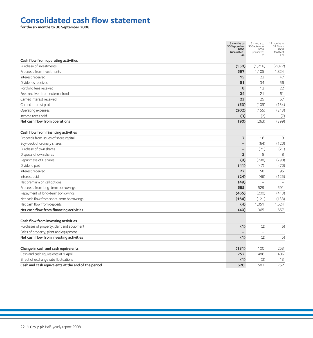## **Consolidated cash flow statement**

**for the six months to 30 September 2008** 

|                                                    | 6 months to<br>30 September<br>2008<br>(unaudited)<br>£m | 6 months to<br>30 September<br>2007<br>(unaudited)<br>£m | 12 months to<br>31 March<br>2008<br>(audited)<br>£m |
|----------------------------------------------------|----------------------------------------------------------|----------------------------------------------------------|-----------------------------------------------------|
| Cash flow from operating activities                |                                                          |                                                          |                                                     |
| Purchase of investments                            | (550)                                                    | (1,216)                                                  | (2,072)                                             |
| Proceeds from investments                          | 597                                                      | 1,105                                                    | 1,824                                               |
| Interest received                                  | 15                                                       | 22                                                       | 47                                                  |
| Dividends received                                 | 51                                                       | 34                                                       | 56                                                  |
| Portfolio fees received                            | 8                                                        | 12                                                       | 22                                                  |
| Fees received from external funds                  | 24                                                       | 21                                                       | 61                                                  |
| Carried interest received                          | 23                                                       | 25                                                       | 67                                                  |
| Carried interest paid                              | (53)                                                     | (109)                                                    | (154)                                               |
| Operating expenses                                 | (202)                                                    | (155)                                                    | (243)                                               |
| Income taxes paid                                  | (3)                                                      | (2)                                                      | (7)                                                 |
| Net cash flow from operations                      | (90)                                                     | (263)                                                    | (399)                                               |
|                                                    |                                                          |                                                          |                                                     |
| Cash flow from financing activities                |                                                          |                                                          |                                                     |
| Proceeds from issues of share capital              | $\overline{7}$                                           | 16                                                       | 19                                                  |
| Buy-back of ordinary shares                        |                                                          | (64)                                                     | (120)                                               |
| Purchase of own shares                             | $\qquad \qquad$                                          | (21)                                                     | (21)                                                |
| Disposal of own shares                             | $\overline{2}$                                           | 8                                                        | 8                                                   |
| Repurchase of B shares                             | (9)                                                      | (798)                                                    | (798)                                               |
| Dividend paid                                      | (41)                                                     | (47)                                                     | (70)                                                |
| Interest received                                  | 22                                                       | 58                                                       | 95                                                  |
| Interest paid                                      | (24)                                                     | (46)                                                     | (125)                                               |
| Net premium on call options                        | (49)                                                     | $\overline{\phantom{0}}$                                 |                                                     |
| Proceeds from long-term borrowings                 | 685                                                      | 529                                                      | 591                                                 |
| Repayment of long-term borrowings                  | (465)                                                    | (200)                                                    | (413)                                               |
| Net cash flow from short-term borrowings           | (164)                                                    | (121)                                                    | (133)                                               |
| Net cash flow from deposits                        | (4)                                                      | 1,051                                                    | 1,624                                               |
| Net cash flow from financing activities            | (40)                                                     | 365                                                      | 657                                                 |
| Cash flow from investing activities                |                                                          |                                                          |                                                     |
| Purchases of property, plant and equipment         | (1)                                                      | (2)                                                      | (6)                                                 |
| Sales of property, plant and equipment             |                                                          | $\equiv$                                                 | $\mathbf{1}$                                        |
|                                                    |                                                          |                                                          | (5)                                                 |
| Net cash flow from investing activities            | (1)                                                      | (2)                                                      |                                                     |
| Change in cash and cash equivalents                | (131)                                                    | 100                                                      | 253                                                 |
| Cash and cash equivalents at 1 April               | 752                                                      | 486                                                      | 486                                                 |
| Effect of exchange rate fluctuations               | (1)                                                      | (3)                                                      | 13                                                  |
| Cash and cash equivalents at the end of the period | 620                                                      | 583                                                      | 752                                                 |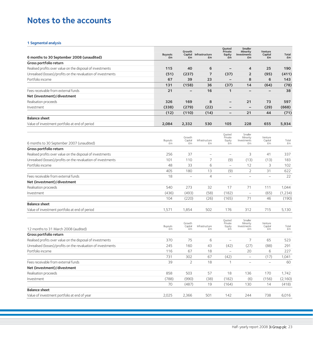## **Notes to the accounts**

## **1 Segmental analysis**

| 6 months to 30 September 2008 (unaudited)                     | <b>Buyouts</b><br>£m | Growth<br>£m             | Capital Infrastructure<br>£m | Quoted<br>Private<br>Equity<br>$E_{\rm m}$ | Smaller<br>Minority<br>Investments<br>£m | Venture<br>Capital<br>£m | Total<br>£m |
|---------------------------------------------------------------|----------------------|--------------------------|------------------------------|--------------------------------------------|------------------------------------------|--------------------------|-------------|
| Gross portfolio return                                        |                      |                          |                              |                                            |                                          |                          |             |
| Realised profits over value on the disposal of investments    | 115                  | 40                       | 6                            | $\overline{\phantom{0}}$                   | $\overline{4}$                           | 25                       | 190         |
| Unrealised (losses)/profits on the revaluation of investments | (51)                 | (237)                    | $\overline{7}$               | (37)                                       | $\overline{2}$                           | (95)                     | (411)       |
| Portfolio income                                              | 67                   | 39                       | 23                           | $\qquad \qquad -$                          | 8                                        | 6                        | 143         |
|                                                               | 131                  | (158)                    | 36                           | (37)                                       | 14                                       | (64)                     | (78)        |
| Fees receivable from external funds                           | 21                   |                          | 16                           | $\mathbf{1}$                               |                                          |                          | 38          |
| Net (investment)/divestment                                   |                      |                          |                              |                                            |                                          |                          |             |
| Realisation proceeds                                          | 326                  | 169                      | 8                            | $\overline{\phantom{0}}$                   | 21                                       | 73                       | 597         |
| Investment                                                    | (338)                | (279)                    | (22)                         | $\overline{\phantom{0}}$                   | $\overline{\phantom{0}}$                 | (29)                     | (668)       |
|                                                               | (12)                 | (110)                    | (14)                         | $\overline{\phantom{0}}$                   | 21                                       | 44                       | (71)        |
| <b>Balance sheet</b>                                          |                      |                          |                              |                                            |                                          |                          |             |
| Value of investment portfolio at end of period                | 2,084                | 2,332                    | 530                          | 105                                        | 228                                      | 655                      | 5,934       |
|                                                               |                      |                          |                              |                                            |                                          |                          |             |
|                                                               | Buyouts              | Growth<br>Capital        | Infrastructure               | Quoted<br>Private<br>Equity                | Smaller<br>Minority<br>Investments       | Venture<br>Capital       | Total       |
| 6 months to 30 September 2007 (unaudited)                     | £m                   | '£m                      | £m                           | f <sub>m</sub>                             | £m                                       | £m                       | £m          |
| Gross portfolio return                                        |                      |                          |                              |                                            |                                          |                          |             |
| Realised profits over value on the disposal of investments    | 256                  | 37                       | $\equiv$                     | $\equiv$                                   | 3                                        | 41                       | 337         |
| Unrealised (losses)/profits on the revaluation of investments | 101                  | 110                      | $\overline{7}$               | (9)                                        | (13)                                     | (13)                     | 183         |
| Portfolio income                                              | 48                   | 33                       | 6                            | $\equiv$                                   | 12                                       | 3                        | 102         |
|                                                               | 405                  | 180                      | 13                           | (9)                                        | $\overline{2}$                           | 31                       | 622         |
| Fees receivable from external funds                           | 18                   | $\overline{a}$           | $\overline{4}$               | $\frac{1}{2}$                              | $\bar{ }$                                | $\overline{a}$           | 22          |
| Net (investment)/divestment                                   |                      |                          |                              |                                            |                                          |                          |             |
| Realisation proceeds                                          | 540                  | 273                      | 32                           | 17                                         | 71                                       | 111                      | 1,044       |
| Investment                                                    | (436)                | (493)                    | (58)                         | (182)                                      | $\equiv$                                 | (65)                     | (1, 234)    |
|                                                               | 104                  | (220)                    | (26)                         | (165)                                      | 71                                       | 46                       | (190)       |
| <b>Balance sheet</b>                                          |                      |                          |                              |                                            |                                          |                          |             |
| Value of investment portfolio at end of period                | 1,571                | 1,854                    | 502                          | 176                                        | 312                                      | 715                      | 5,130       |
| 12 months to 31 March 2008 (audited)                          | Buyouts<br>£m        | Growth<br>Capital<br>'£m | Infrastructure<br>£m         | Quoted<br>Private<br>Equity<br>£m          | Smaller<br>Minority<br>Investments<br>£m | Venture<br>Capital<br>£m | Total<br>Em |
| Gross portfolio return                                        |                      |                          |                              |                                            |                                          |                          |             |
| Realised profits over value on the disposal of investments    | 370                  | 75                       | 6                            | $\qquad \qquad =$                          | $\overline{7}$                           | 65                       | 523         |
| Unrealised (losses)/profits on the revaluation of investments | 245                  | 160                      | 43                           | (42)                                       | (27)                                     | (88)                     | 291         |
| Portfolio income                                              | 116                  | 67                       | 18                           | $\equiv$                                   | 20                                       | 6                        | 227         |
|                                                               | 731                  | 302                      | 67                           | (42)                                       | $\equiv$                                 | (17)                     | 1,041       |
| Fees receivable from external funds                           | 39                   | $\overline{2}$           | 18                           | $\mathbf{1}$                               | $\overline{\phantom{a}}$                 | $\overline{a}$           | 60          |
| Net (investment)/divestment                                   |                      |                          |                              |                                            |                                          |                          |             |
| Realisation proceeds                                          | 858                  | 503                      | 57                           | 18                                         | 136                                      | 170                      | 1,742       |
| Investment                                                    | (788)                | (990)                    | (38)                         | (182)                                      | (6)                                      | (156)                    | (2,160)     |
|                                                               | 70                   | (487)                    | 19                           | (164)                                      | 130                                      | 14                       | (418)       |
| <b>Balance sheet</b>                                          |                      |                          |                              |                                            |                                          |                          |             |
| Value of investment portfolio at end of year                  | 2.025                | 2.366                    | 501                          | 142                                        | 244                                      | 738                      | 6.016       |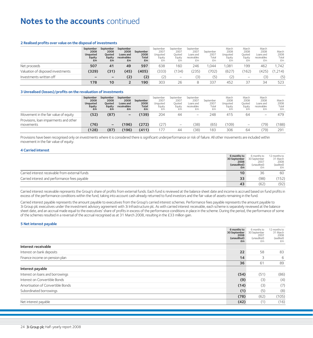## **Notes to the accounts** continued

#### **2 Realised profits over value on the disposal of investments**

|                                   | September<br>2008<br>Unquoted<br><b>Equity</b><br>£m | September<br>2008<br>Quoted<br>Equity<br>£m | September<br>2008<br>Loans and<br>receivables<br>£m | September<br>2008<br><b>Total</b><br>£m | September<br>2007<br>Unguoted<br>Equity<br>£m | September<br>2007<br>Quoted<br>Equity<br>fm. | September<br>2007<br>Loans and<br>receivables<br>£m | September<br>2007<br>Total<br>£m | March<br>2008<br>Unquoted<br>Equity<br>£m | March<br>2008<br>Quoted<br>Equity<br>£m | March<br>2008<br>Loans and<br>receivables<br>£m | March<br>2008<br>Total<br>£m |
|-----------------------------------|------------------------------------------------------|---------------------------------------------|-----------------------------------------------------|-----------------------------------------|-----------------------------------------------|----------------------------------------------|-----------------------------------------------------|----------------------------------|-------------------------------------------|-----------------------------------------|-------------------------------------------------|------------------------------|
| Net proceeds                      | 507                                                  | 41                                          | 49                                                  | 597                                     | 638                                           | 160                                          | 246                                                 | .044                             | 1.081                                     | 199                                     | 462                                             | 1.742                        |
| Valuation of disposed investments | (329)                                                | (31)                                        | (45)                                                | (405)                                   | (333)                                         | (134)                                        | (235)                                               | (702)                            | (627)                                     | (162)                                   | 425                                             | (1,214)                      |
| Investments written off           | $\overline{\phantom{a}}$                             | $\overline{\phantom{0}}$                    | (2)                                                 | (2)                                     | (2)                                           | $\overline{\phantom{0}}$                     | (3)                                                 | (5                               | (2)                                       | -                                       | (3)                                             | (5)                          |
|                                   | 178                                                  | 10                                          |                                                     | 190                                     | 303                                           | 26                                           | 8                                                   | 337                              | 452                                       | 37                                      | 34                                              | 523                          |

#### **3 Unrealised (losses)/profits on the revaluation of investments**

|                                                     | September<br>2008<br>Unquoted<br>Equity<br>£m | September<br>2008<br>Quoted<br>Equity<br>£m | September<br>2008<br>Loans and<br>receivables<br>£m | September<br>2008<br><b>Total</b><br>£m | September<br>2007<br>Unguoted<br>Equity<br>$\widetilde{\mathsf{Em}}$ | September<br>2007<br>Quoted<br>Equity<br>£m | September<br>2007<br>Loans and<br>receivables<br>£m | September<br>2007<br>Total<br>£m | March<br>2008<br>Unguoted<br>Equity | March<br>2008<br>Quoted<br>Equity<br>£m | March<br>2008<br>Loans and<br>receivables<br>£m | March<br>2008<br>Total<br>£m |
|-----------------------------------------------------|-----------------------------------------------|---------------------------------------------|-----------------------------------------------------|-----------------------------------------|----------------------------------------------------------------------|---------------------------------------------|-----------------------------------------------------|----------------------------------|-------------------------------------|-----------------------------------------|-------------------------------------------------|------------------------------|
| Movement in the fair value of equity                | (52)                                          | (87)                                        | $\overline{\phantom{0}}$                            | (139)                                   | 204                                                                  | 44                                          | $\overline{\phantom{a}}$                            | 248                              | 415                                 | 64                                      | -                                               | 479                          |
| Provisions, loan impairments and other<br>movements | (76)                                          | $\qquad \qquad \blacksquare$                | (196                                                | (272)                                   | (27)                                                                 | -                                           | (38)                                                | (65)                             | (109)                               | -                                       | 79)                                             | (188)                        |
|                                                     | (128)                                         | (87)                                        | (196                                                | (411)                                   |                                                                      | 44                                          | (38)                                                | 183                              | 306                                 | 64                                      | 79)                                             | 291                          |

Provisions have been recognised only on investments where it is considered there is significant underperformance or risk of failure. All other movements are included within movement in the fair value of equity.

### **4 Carried interest**

|                                                 | 6 months to<br>30 September<br>2008<br>(unaudited)<br>£m | 6 months to<br>30 September<br>2007<br>(unaudited)<br>£m | 12 months to<br>31 March<br>2008<br>(audited)<br>£m |
|-------------------------------------------------|----------------------------------------------------------|----------------------------------------------------------|-----------------------------------------------------|
| Carried interest receivable from external funds | 10                                                       | 36                                                       | 60                                                  |
| Carried interest and performance fees payable   | 33                                                       | (98)                                                     | (152)                                               |
|                                                 | 43                                                       | (62)                                                     | (92)                                                |

Carried interest receivable represents the Group's share of profits from external funds. Each fund is reviewed at the balance sheet date and income is accrued based on fund profits in excess of the performance conditions within the fund, taking into account cash already returned to fund investors and the fair value of assets remaining in the fund.

Carried interest payable represents the amount payable to executives from the Group's carried interest schemes. Performance fees payable represents the amount payable to 3i Group plc executives under the investment advisory agreement with 3i Infrastructure plc. As with carried interest receivable, each scheme is separately reviewed at the balance sheet date, and an accrual made equal to the executives' share of profits in excess of the performance conditions in place in the scheme. During the period, the performance of some of the schemes resulted in a reversal of the accrual recognised as at 31 March 2008, resulting in the £33 million gain.

#### **5 Net interest payable**

|                                   | 6 months to<br>30 September<br>2008<br>(unaudited)<br>£m | 6 months to<br>30 September<br>2007<br>(unaudited)<br>£m | 12 months to<br>31 March<br>2008<br>(audited)<br>£m |
|-----------------------------------|----------------------------------------------------------|----------------------------------------------------------|-----------------------------------------------------|
| Interest receivable               |                                                          |                                                          |                                                     |
| Interest on bank deposits         | 22                                                       | 58                                                       | 83                                                  |
| Finance income on pension plan    | 14                                                       | 3                                                        | 6                                                   |
|                                   | 36                                                       | 61                                                       | 89                                                  |
| Interest payable                  |                                                          |                                                          |                                                     |
| Interest on loans and borrowings  | (54)                                                     | (51)                                                     | (86)                                                |
| Interest on Convertible Bonds     | (9)                                                      | (3)                                                      | (4)                                                 |
| Amortisation of Convertible Bonds | (14)                                                     | (3)                                                      | (7)                                                 |
| Subordinated borrowings           | (1)                                                      | (5)                                                      | (8)                                                 |
|                                   | (78)                                                     | (62)                                                     | (105)                                               |
| Net interest payable              | (42)                                                     | (1)                                                      | (16)                                                |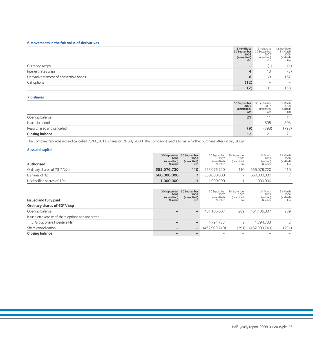## **6 Movements in the fair value of derivatives**

|                                         | 6 months to<br>30 September<br>2008<br>(unaudited)<br>£m | 6 months to<br>30 September<br>2007<br>(unaudited)<br>£m | 12 months to<br>31 March<br>2008<br>(audited)<br>£m |
|-----------------------------------------|----------------------------------------------------------|----------------------------------------------------------|-----------------------------------------------------|
| Currency swaps                          |                                                          | (1)                                                      | (1)                                                 |
| Interest rate swaps                     | 4                                                        | 13                                                       | (3)                                                 |
| Derivative element of convertible bonds | 6                                                        | 69                                                       | 162                                                 |
| Call options                            | (12)                                                     | $\overline{\phantom{0}}$                                 |                                                     |
|                                         | (2)                                                      | 81                                                       | 158                                                 |

## **7 B shares**

|                           | 30 September<br>2008<br>(unaudited)<br>£m | 30 September<br>2007<br>(unaudited)<br>£m | 31 March<br>2008<br>(audited)<br>£m |
|---------------------------|-------------------------------------------|-------------------------------------------|-------------------------------------|
| Opening balance           | 21                                        | 11                                        | 11                                  |
| Issued in period          |                                           | 808                                       | 808                                 |
| Repurchased and cancelled | (9)                                       | (798)                                     | (798)                               |
| <b>Closing balance</b>    | 12                                        | 21                                        | 21                                  |

The Company repurchased and cancelled 7,260,201 B shares on 28 July 2008. The Company expects to make further purchase offers in July 2009.

## **8 Issued capital**

| Authorised                               | 2008<br>(unaudited)<br><b>Number</b> | 30 September 30 September<br>2008<br>(unaudited)<br>£m | 30 September<br>2007<br>(unaudited)<br>Number | 30 September<br>2007<br>(unaudited) | 31 March<br>2008<br>(audited)<br>Number | 31 March<br>2008<br>(audited)<br>£m |
|------------------------------------------|--------------------------------------|--------------------------------------------------------|-----------------------------------------------|-------------------------------------|-----------------------------------------|-------------------------------------|
| Ordinary shares of 73 <sup>19</sup> /22p | 555,076,720                          | 410                                                    | 555,076,720                                   | 410                                 | 555,076,720                             | 410                                 |
| B shares of 1p                           | 660,000,000                          |                                                        | 660,000,000                                   |                                     | 660,000,000                             |                                     |
| Unclassified shares of 10p               | 1.000.000                            |                                                        | 1.000.000                                     |                                     | 1.000.000                               |                                     |

| Issued and fully paid                             | 2008<br>(unaudited)<br><b>Number</b> | 30 September 30 September<br>2008<br>(unaudited)<br>£m | 30 September<br>2007<br>(unaudited)<br>Number | 30 September<br>2007<br>(unaudited)<br>£m | 31 March<br>2008<br>(audited)<br>Number | 31 March<br>2008<br>(audited)<br>£m |
|---------------------------------------------------|--------------------------------------|--------------------------------------------------------|-----------------------------------------------|-------------------------------------------|-----------------------------------------|-------------------------------------|
| Ordinary shares of 62 <sup>69</sup> /88p          |                                      |                                                        |                                               |                                           |                                         |                                     |
| Opening balance                                   | $\overline{\phantom{a}}$             | -                                                      | 461.106.007                                   | 289                                       | 461,106,007                             | 289                                 |
| Issued on exercise of share options and under the |                                      |                                                        |                                               |                                           |                                         |                                     |
| 3i Group Share Incentive Plan                     | $\overline{\phantom{0}}$             | -                                                      | 1.794.733                                     |                                           | 1.794.733                               |                                     |
| Share consolidation                               | $\overline{\phantom{0}}$             | -                                                      | (462,900,740)                                 | (291)                                     | (462,900,740)                           | (291)                               |
| <b>Closing balance</b>                            |                                      |                                                        |                                               |                                           |                                         |                                     |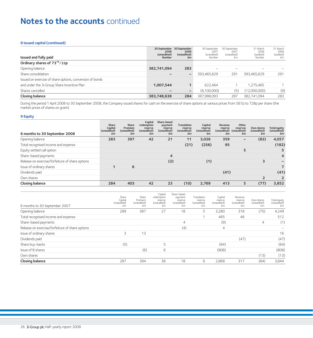## **Notes to the accounts** continued

### **8 Issued capital (continued)**

| Issued and fully paid                                    | 2008<br>(unaudited)<br><b>Number</b> | 30 September 30 September<br>2008<br>(unaudited)<br>£m | 30 September<br>2007<br>(unaudited)<br>Number | 30 September<br>2007<br>(unaudited)<br>£m | 31 March<br>2008<br>(audited)<br>Number | 31 March<br>2008<br>(audited)<br>£m |
|----------------------------------------------------------|--------------------------------------|--------------------------------------------------------|-----------------------------------------------|-------------------------------------------|-----------------------------------------|-------------------------------------|
| Ordinary shares of 73 <sup>19</sup> /22p                 |                                      |                                                        |                                               |                                           |                                         |                                     |
| Opening balance                                          | 382,741,094                          | 283                                                    |                                               |                                           |                                         |                                     |
| Share consolidation                                      |                                      | -                                                      | 393,465,629                                   | 291                                       | 393.465.629                             | 291                                 |
| Issued on exercise of share options, conversion of bonds |                                      |                                                        |                                               |                                           |                                         |                                     |
| and under the 3i Group Share Incentive Plan              | 1.007.544                            |                                                        | 622.464                                       |                                           | 1.275.465                               |                                     |
| Shares cancelled                                         |                                      | -                                                      | (6,100,000)                                   | (5)                                       | (12,000,000)                            | (9)                                 |
| <b>Closing balance</b>                                   | 383,748,638                          | 284                                                    | 387,988,093                                   | 287                                       | 382.741.094                             | 283                                 |

During the period 1 April 2008 to 30 September 2008, the Company issued shares for cash on the exercise of share options at various prices from 567p to 728p per share (the market prices of shares on grant).

### **9 Equity**

| 6 months to 30 September 2008                   | <b>Share</b><br>Capital<br>(unaudited)<br>£m | Share<br>Premium<br>(unaudited)<br>£m | Capital<br>redemption<br>reserve<br>(unaudited)<br>£m | Share-based<br>payment<br>reserve<br>(unaudited)<br>£m | <b>Translation</b><br>reserve<br>(unaudited)<br>£m | Capital<br>reserve<br>(unaudited)<br>£m | Revenue<br>reserve<br>(unaudited) (unaudited)<br>£m | Other<br>reserves<br>£m | Own shares<br>(unaudited)<br>£m | Total equity<br>(unaudited)<br>£m |
|-------------------------------------------------|----------------------------------------------|---------------------------------------|-------------------------------------------------------|--------------------------------------------------------|----------------------------------------------------|-----------------------------------------|-----------------------------------------------------|-------------------------|---------------------------------|-----------------------------------|
| Opening balance                                 | 283                                          | 397                                   | 42                                                    | 21                                                     | 11                                                 | 3,026                                   | 359                                                 | $\qquad \qquad$         | (82)                            | 4,057                             |
| Total recognised income and expense             |                                              |                                       |                                                       |                                                        | (21)                                               | (256)                                   | 95                                                  |                         |                                 | (182)                             |
| Equity settled call option                      |                                              |                                       |                                                       |                                                        |                                                    |                                         |                                                     | 5                       |                                 | 5                                 |
| Share-based payments                            |                                              |                                       |                                                       | $\overline{4}$                                         |                                                    |                                         |                                                     |                         |                                 | $\overline{4}$                    |
| Release on exercise/forfeiture of share options |                                              |                                       |                                                       | (2)                                                    |                                                    | (1)                                     |                                                     |                         | 3                               |                                   |
| Issue of ordinary shares                        |                                              | 6                                     |                                                       |                                                        |                                                    |                                         |                                                     |                         |                                 | $\overline{7}$                    |
| Dividends paid                                  |                                              |                                       |                                                       |                                                        |                                                    |                                         | (41)                                                |                         |                                 | (41)                              |
| Own shares                                      |                                              |                                       |                                                       |                                                        |                                                    |                                         |                                                     |                         | $\overline{2}$                  | $\overline{2}$                    |
| Closing balance                                 | 284                                          | 403                                   | 42                                                    | 23                                                     | (10)                                               | 2,769                                   | 413                                                 | 5                       | (77)                            | 3,852                             |

| 6 months to 30 September 2007                   | Share<br>Capital<br>(unaudited)<br>£m | Share<br>Premium<br>(unaudited)<br>£m | Capital<br>redemption<br>reserve<br>(unaudited)<br>£m | Share-based<br>payment<br>reserve<br>(unaudited)<br>£m | Translation<br>reserve<br>(unaudited)<br>£m | Capital<br>reserve<br>(unaudited)<br>£m | Revenue<br>reserve<br>(unaudited)<br>£m | Own shares<br>(unaudited)<br>£m | Total equity<br>(unaudited)<br>£m |
|-------------------------------------------------|---------------------------------------|---------------------------------------|-------------------------------------------------------|--------------------------------------------------------|---------------------------------------------|-----------------------------------------|-----------------------------------------|---------------------------------|-----------------------------------|
| Opening balance                                 | 289                                   | 387                                   | 27                                                    | 18                                                     | 5                                           | 3,280                                   | 318                                     | (75)                            | 4,249                             |
| Total recognised income and expense             |                                       |                                       |                                                       |                                                        |                                             | 465                                     | 46                                      |                                 | 512                               |
| Share-based payments                            |                                       |                                       |                                                       | 4                                                      |                                             | (9)                                     |                                         | $\overline{4}$                  | (1)                               |
| Release on exercise/forfeiture of share options |                                       |                                       |                                                       | (4)                                                    |                                             | 4                                       |                                         |                                 |                                   |
| Issue of ordinary shares                        | 3                                     | 13                                    |                                                       |                                                        |                                             |                                         |                                         |                                 | 16                                |
| Dividends paid                                  |                                       |                                       |                                                       |                                                        |                                             |                                         | (47)                                    |                                 | (47)                              |
| Share buy-backs                                 | (5)                                   |                                       | 5                                                     |                                                        |                                             | (64)                                    |                                         |                                 | (64)                              |
| Issue of B shares                               |                                       | (6)                                   | 6                                                     |                                                        |                                             | (808)                                   |                                         |                                 | (808)                             |
| Own shares                                      |                                       |                                       |                                                       |                                                        |                                             |                                         |                                         | (13)                            | (13)                              |
| Closing balance                                 | 287                                   | 394                                   | 38                                                    | 18                                                     | 6                                           | 2,868                                   | 317                                     | (84)                            | 3,844                             |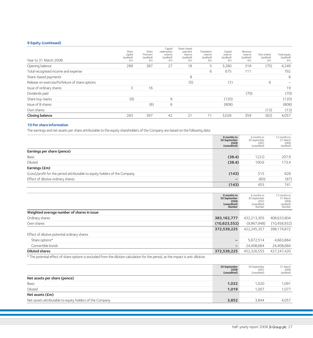## **9 Equity (continued)**

| Year to 31 March 2008                           | Share<br>capital<br>(audited)<br>£m | Share<br>Premium<br>(audited)<br>£m | Capital<br>redemption<br>reserve<br>(audited)<br>£m | Share-based<br>payment<br>reserve<br>(audited)<br>£m | Translation<br>reserve<br>(audited)<br>£m | Capital<br>reserve<br>(audited)<br>£m | Revenue<br>reserve<br>(audited)<br>£m | Own shares<br>(audited)<br>£m | Total equity<br>(audited)<br>£m |
|-------------------------------------------------|-------------------------------------|-------------------------------------|-----------------------------------------------------|------------------------------------------------------|-------------------------------------------|---------------------------------------|---------------------------------------|-------------------------------|---------------------------------|
| Opening balance                                 | 289                                 | 387                                 | 27                                                  | 18                                                   | 5                                         | 3,280                                 | 318                                   | (75)                          | 4,249                           |
| Total recognised income and expense             |                                     |                                     |                                                     |                                                      | 6                                         | 675                                   | 111                                   |                               | 792                             |
| Share-based payments                            |                                     |                                     |                                                     | 8                                                    |                                           |                                       |                                       |                               | 8                               |
| Release on exercise/forfeiture of share options |                                     |                                     |                                                     | (5)                                                  |                                           | (1)                                   |                                       | 6                             |                                 |
| Issue of ordinary shares                        | 3                                   | 16                                  |                                                     |                                                      |                                           |                                       |                                       |                               | 19                              |
| Dividends paid                                  |                                     |                                     |                                                     |                                                      |                                           |                                       | (70)                                  |                               | (70)                            |
| Share buy-backs                                 | (9)                                 |                                     | 9                                                   |                                                      |                                           | (120)                                 |                                       |                               | (120)                           |
| Issue of B shares                               |                                     | (6)                                 | 6                                                   |                                                      |                                           | (808)                                 |                                       |                               | (808)                           |
| Own shares                                      |                                     |                                     |                                                     |                                                      |                                           |                                       |                                       | (13)                          | (13)                            |
| <b>Closing balance</b>                          | 283                                 | 397                                 | 42                                                  | 21                                                   | 11                                        | 3,026                                 | 359                                   | (82)                          | 4,057                           |

### **10 Per share information**

The earnings and net assets per share attributable to the equity shareholders of the Company are based on the following data:

|                                                                            | 6 months to<br>30 September<br>2008<br>(unaudited) | 6 months to<br>30 September<br>2007<br>(unaudited) | 12 months to<br>31 March<br>2008<br>(audited) |
|----------------------------------------------------------------------------|----------------------------------------------------|----------------------------------------------------|-----------------------------------------------|
| Earnings per share (pence)                                                 |                                                    |                                                    |                                               |
| Basic                                                                      | (38.4)                                             | 122.0                                              | 207.9                                         |
| Diluted                                                                    | (38.4)                                             | 100.6                                              | 173.4                                         |
| Earnings (£m)                                                              |                                                    |                                                    |                                               |
| (Loss)/profit for the period attributable to equity holders of the Company | (143)                                              | 515                                                | 828                                           |
| Effect of dilutive ordinary shares                                         |                                                    | (60)                                               | (87)                                          |
|                                                                            | (143)                                              | 455                                                | 741                                           |

|                                              | 6 months to<br>30 September<br>2008<br>(unaudited)<br><b>Number</b> | 6 months to<br>30 September<br>2007<br>(unaudited)<br>Number | 12 months to<br>31 March<br>2008<br>(audited)<br>Number |
|----------------------------------------------|---------------------------------------------------------------------|--------------------------------------------------------------|---------------------------------------------------------|
| Weighted average number of shares in issue   |                                                                     |                                                              |                                                         |
| Ordinary shares                              | 383, 162, 777                                                       | 432,213,305                                                  | 408,633,804                                             |
| Own shares                                   | (10,623,552)                                                        | (9,967,948)                                                  | (10,458,932)                                            |
|                                              | 372,539,225                                                         | 422,245,357                                                  | 398,174,872                                             |
| Effect of dilutive potential ordinary shares |                                                                     |                                                              |                                                         |
| Share options*                               |                                                                     | 5,672,514                                                    | 4,663,864                                               |
| Convertible bonds                            | -                                                                   | 24,408,684                                                   | 24,408,684                                              |
| <b>Diluted shares</b>                        | 372,539,225                                                         | 452,326,555                                                  | 427,247,420                                             |

\* The potential effect of share options is excluded from the dilution calculation for the period, as the impact is anti-dilutive.

|                                                          | 30 September<br>2008<br>(unaudited) | 30 September<br>2007<br>(unaudited) | 31 March<br>2008<br>(audited) |
|----------------------------------------------------------|-------------------------------------|-------------------------------------|-------------------------------|
| Net assets per share (pence)                             |                                     |                                     |                               |
| Basic                                                    | 1,032                               | 1.020                               | 1,091                         |
| Diluted                                                  | 1.019                               | 1.007                               | 1,077                         |
| Net assets (£m)                                          |                                     |                                     |                               |
| Net assets attributable to equity holders of the Company | 3,852                               | 3,844                               | 4,057                         |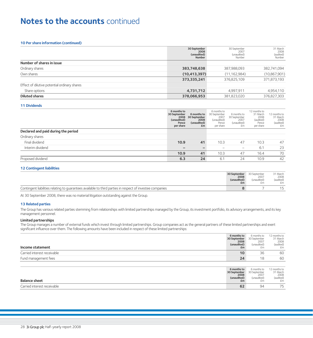## **Notes to the accounts** continued

#### **10 Per share information (continued)**

|                                              | 30 September<br>2008<br>(unaudited)<br>Number | 30 September<br>2007<br>(unaudited)<br>Number | 31 March<br>2008<br>(audited)<br>Number |
|----------------------------------------------|-----------------------------------------------|-----------------------------------------------|-----------------------------------------|
| Number of shares in issue                    |                                               |                                               |                                         |
| Ordinary shares                              | 383,748,638                                   | 387,988,093                                   | 382,741,094                             |
| Own shares                                   | (10, 413, 397)                                | (11, 162, 984)                                | (10,867,901)                            |
|                                              | 373,335,241                                   | 376,825,109                                   | 371,873,193                             |
| Effect of dilutive potential ordinary shares |                                               |                                               |                                         |
| Share options                                | 4,731,712                                     | 4.997.911                                     | 4,954,110                               |
| <b>Diluted shares</b>                        | 378,066,953                                   | 381,823,020                                   | 376,827,303                             |

### **11 Dividends**

|                                     | 6 months to<br>30 September<br>(unaudited)<br>Pence<br>per share | 6 months to<br>2008 30 September<br>2008<br>(unaudited)<br>£m | 6 months to<br>30 September<br>2007<br>(unaudited)<br>Pence<br>per share | 6 months to<br>30 September<br>2007<br>(unaudited)<br>£m | 12 months to<br>31 March<br>2008<br>(audited)<br>Pence<br>per share | 12 months to<br>31 March<br>2008<br>(audited)<br>£m |
|-------------------------------------|------------------------------------------------------------------|---------------------------------------------------------------|--------------------------------------------------------------------------|----------------------------------------------------------|---------------------------------------------------------------------|-----------------------------------------------------|
| Declared and paid during the period |                                                                  |                                                               |                                                                          |                                                          |                                                                     |                                                     |
| Ordinary shares                     |                                                                  |                                                               |                                                                          |                                                          |                                                                     |                                                     |
| Final dividend                      | 10.9                                                             | 41                                                            | 10.3                                                                     | 47                                                       | 10.3                                                                | 47                                                  |
| Interim dividend                    |                                                                  |                                                               |                                                                          |                                                          | 6.1                                                                 | 23                                                  |
|                                     | 10.9                                                             | 41                                                            | 10.3                                                                     | 47                                                       | 16.4                                                                | 70                                                  |
| Proposed dividend                   | 6.3                                                              | 24                                                            | 6.1                                                                      | 24                                                       | 10.9                                                                | 42                                                  |

### **12 Contingent liabilities**

|                                                                                                           | 30 September | 30 September | 31 March  |
|-----------------------------------------------------------------------------------------------------------|--------------|--------------|-----------|
|                                                                                                           | 2008         | 2007         | 2008      |
|                                                                                                           | (unaudited)  | (unaudited)  | (audited) |
|                                                                                                           | £m           | £m           | £m        |
| Contingent liabilities relating to quarantees available to third parties in respect of investee companies |              |              |           |

At 30 September 2008, there was no material litigation outstanding against the Group.

#### **13 Related parties**

The Group has various related parties stemming from relationships with limited partnerships managed by the Group, its investment portfolio, its advisory arrangements, and its key management personnel.

#### **Limited partnerships**

The Group manages a number of external funds which invest through limited partnerships. Group companies act as the general partners of these limited partnerships and exert significant influence over them. The following amounts have been included in respect of these limited partnerships:

| Income statement            | 6 months to<br>30 September 30 September<br>2008<br>(unaudited)<br>£m | 6 months to<br>2007<br>(unaudited)<br>£m | 12 months to<br>31 March<br>2008<br>(audited)<br>£m |
|-----------------------------|-----------------------------------------------------------------------|------------------------------------------|-----------------------------------------------------|
| Carried interest receivable | 10 <sup>°</sup>                                                       | 36                                       | 60                                                  |
| Fund management fees        | 24                                                                    | 18                                       | 60                                                  |

| <b>Balance sheet</b>        | 6 months to  | 6 months to  | 12 months to    |
|-----------------------------|--------------|--------------|-----------------|
|                             | 30 September | 30 September | 31 March        |
|                             | 2008         | 2007         | 2008            |
|                             | (unaudited)  | (unaudited)  | (audited)       |
|                             | £m           | £m           | £m              |
| Carried interest receivable | 62           | 94           | 75<br><u>لى</u> |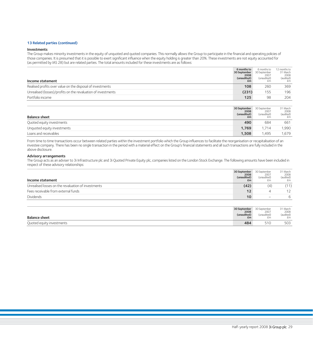### **13 Related parties (continued)**

#### **Investments**

The Group makes minority investments in the equity of unquoted and quoted companies. This normally allows the Group to participate in the financial and operating policies of those companies. It is presumed that it is possible to exert significant influence when the equity holding is greater than 20%. These investments are not equity accounted for (as permitted by IAS 28) but are related parties. The total amounts included for these investments are as follows:

| Income statement                                              | 6 months to<br>30 September<br>2008<br>(unaudited)<br>£m | 6 months to<br>30 September<br>2007<br>(unaudited)<br>£m | 12 months to<br>31 March<br>2008<br>(audited)<br>fm. |
|---------------------------------------------------------------|----------------------------------------------------------|----------------------------------------------------------|------------------------------------------------------|
| Realised profits over value on the disposal of investments    | 108                                                      | 260                                                      | 369                                                  |
| Unrealised (losses)/profits on the revaluation of investments | (231)                                                    | 155                                                      | 196                                                  |
| Portfolio income                                              | 125                                                      | 98                                                       | 204                                                  |

| <b>Balance sheet</b>        | 30 September<br>2008<br>(unaudited)<br>£m | 30 September<br>2007<br>(unaudited)<br>£m | 31 March<br>2008<br>(audited)<br>£m |
|-----------------------------|-------------------------------------------|-------------------------------------------|-------------------------------------|
| Quoted equity investments   | 490                                       | 684                                       | 661                                 |
| Unquoted equity investments | 1.769                                     | 1.714                                     | 1,990                               |
| Loans and receivables       | 1,508                                     | 1,495                                     | 1,679                               |

From time to time transactions occur between related parties within the investment portfolio which the Group influences to facilitate the reorganisation or recapitalisation of an investee company. There has been no single transaction in the period with a material effect on the Group's financial statements and all such transactions are fully included in the above disclosure.

### **Advisory arrangements**

The Group acts as an adviser to 3i Infrastructure plc and 3i Quoted Private Equity plc, companies listed on the London Stock Exchange. The following amounts have been included in respect of these advisory relationships:

| Income statement                                    | 30 September<br>2008<br>(unaudited)<br>£m | 30 September<br>2007<br>(unaudited)<br>£m | 31 March<br>2008<br>(audited)<br>£m. |
|-----------------------------------------------------|-------------------------------------------|-------------------------------------------|--------------------------------------|
| Unrealised losses on the revaluation of investments | (42)                                      | (4)                                       | (11)                                 |
| Fees receivable from external funds                 | 12                                        |                                           |                                      |
| Dividends                                           | 10 <sup>°</sup>                           | $\overline{\phantom{m}}$                  |                                      |

| <b>Balance sheet</b>      | 30 September | 30 September | 31 March  |
|---------------------------|--------------|--------------|-----------|
|                           | 2008         | 2007         | 2008      |
|                           | (unaudited)  | (unaudited)  | (audited) |
|                           | £m           | £m           | £m        |
| Quoted equity investments | 484          | 510          | 503       |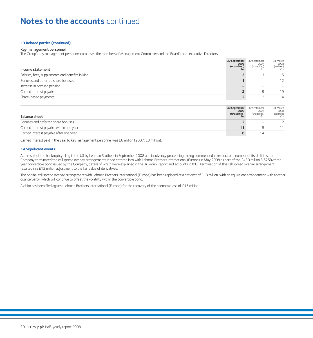## **Notes to the accounts** continued

### **13 Related parties (continued)**

### **Key management personnel**

The Group's key management personnel comprises the members of Management Committee and the Board's non-executive Directors.

| Income statement                                 | <b>30 September</b> 30 September<br>2008<br>(unaudited)<br>£m | 2007<br>(unaudited)<br>£m | 31 March<br>2008<br>(audited)<br>£m |
|--------------------------------------------------|---------------------------------------------------------------|---------------------------|-------------------------------------|
| Salaries, fees, supplements and benefits in kind |                                                               |                           | 5.                                  |
| Bonuses and deferred share bonuses               |                                                               | $\equiv$                  | 12                                  |
| Increase in accrued pension                      |                                                               | -                         |                                     |
| Carried interest payable                         |                                                               |                           | 19                                  |
| Share-based payments                             |                                                               |                           |                                     |

| <b>Balance sheet</b>                     | 30 September<br>2008<br>(unaudited)<br>£m | 30 September<br>2007<br>(unaudited)<br>£m | 31 March<br>2008<br>(audited)<br>£m |
|------------------------------------------|-------------------------------------------|-------------------------------------------|-------------------------------------|
| Bonuses and deferred share bonuses       |                                           | $\overline{\phantom{0}}$                  |                                     |
| Carried interest payable within one year | 11                                        |                                           |                                     |
| Carried interest payable after one year  |                                           | 14                                        |                                     |

Carried interest paid in the year to key management personnel was £8 million (2007: £8 million).

#### **14 Significant events**

As a result of the bankruptcy filing in the US by Lehman Brothers in September 2008 and insolvency proceedings being commenced in respect of a number of its affiliates, the Company terminated the call spread overlay arrangements it had entered into with Lehman Brothers International (Europe) in May 2008 as part of the £430 million 3.625% three year convertible bond issued by the Company, details of which were explained in the 3i Group Report and accounts 2008. Termination of this call spread overlay arrangement resulted in a £12 million adjustment to the fair value of derivatives.

The original call spread overlay arrangement with Lehman Brothers International (Europe) has been replaced at a net cost of £13 million, with an equivalent arrangement with another counterparty, which will continue to offset the volatility within the convertible bond.

A claim has been filed against Lehman Brothers International (Europe) for the recovery of the economic loss of £15 million.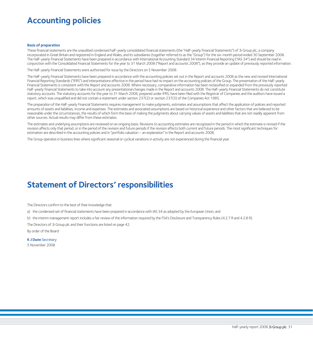## **Accounting policies**

#### **Basis of preparation**

These financial statements are the unaudited condensed half-yearly consolidated financial statements (the "Half-yearly Financial Statements") of 3i Group plc, a company incorporated in Great Britain and registered in England and Wales, and its subsidiaries (together referred to as the "Group") for the six-month period ended 30 September 2008. The Half-yearly Financial Statements have been prepared in accordance with International Accounting Standard 34 Interim Financial Reporting ("IAS 34") and should be read in conjunction with the Consolidated Financial Statements for the year to 31 March 2008 ("Report and accounts 2008"), as they provide an update of previously reported information.

The Half-yearly Financial Statements were authorised for issue by the Directors on 5 November 2008.

The Half-yearly Financial Statements have been prepared in accordance with the accounting policies set out in the Report and accounts 2008 as the new and revised International Financial Reporting Standards ("IFRS") and interpretations effective in the period have had no impact on the accounting policies of the Group. The presentation of the Half-yearly Financial Statements is consistent with the Report and accounts 2008. Where necessary, comparative information has been reclassified or expanded from the previously reported Half-yearly Financial Statements to take into account any presentational changes made in the Report and accounts 2008. The Half-yearly Financial Statements do not constitute statutory accounts. The statutory accounts for the year to 31 March 2008, prepared under IFRS, have been filed with the Registrar of Companies and the auditors have issued a report, which was unqualified and did not contain a statement under section 237(2) or section 237(3) of the Companies Act 1985.

The preparation of the Half-yearly Financial Statements requires management to make judgments, estimates and assumptions that affect the application of policies and reported amounts of assets and liabilities, income and expenses. The estimates and associated assumptions are based on historical experience and other factors that are believed to be reasonable under the circumstances, the results of which form the basis of making the judgments about carrying values of assets and liabilities that are not readily apparent from other sources. Actual results may differ from these estimates.

The estimates and underlying assumptions are reviewed on an ongoing basis. Revisions to accounting estimates are recognised in the period in which the estimate is revised if the revision affects only that period, or in the period of the revision and future periods if the revision affects both current and future periods. The most significant techniques for estimation are described in the accounting policies and in "portfolio valuation – an explanation" in the Report and accounts 2008.

The Group operates in business lines where significant seasonal or cyclical variations in activity are not experienced during the financial year.

## **Statement of Directors' responsibilities**

The Directors confirm to the best of their knowledge that:

a) the condensed set of financial statements have been prepared in accordance with IAS 34 as adopted by the European Union; and

b) the interim management report includes a fair review of the information required by the FSA's Disclosure and Transparency Rules (4.2.7 R and 4.2.8 R).

The Directors of 3i Group plc and their functions are listed on page 42.

By order of the Board

**K J Dunn** Secretary

5 November 2008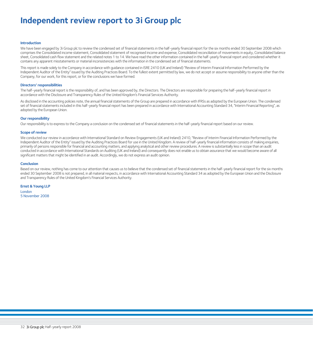## **Independent review report to 3i Group plc**

#### **Introduction**

We have been engaged by 3i Group plc to review the condensed set of financial statements in the half-yearly financial report for the six months ended 30 September 2008 which comprises the Consolidated income statement, Consolidated statement of recognised income and expense, Consolidated reconciliation of movements in equity, Consolidated balance sheet, Consolidated cash flow statement and the related notes 1 to 14. We have read the other information contained in the half-yearly financial report and considered whether it contains any apparent misstatements or material inconsistencies with the information in the condensed set of financial statements.

This report is made solely to the Company in accordance with guidance contained in ISRE 2410 (UK and Ireland) "Review of Interim Financial Information Performed by the Independent Auditor of the Entity" issued by the Auditing Practices Board. To the fullest extent permitted by law, we do not accept or assume responsibility to anyone other than the Company, for our work, for this report, or for the conclusions we have formed.

#### **Directors' responsibilities**

The half-yearly financial report is the responsibility of, and has been approved by, the Directors. The Directors are responsible for preparing the half-yearly financial report in accordance with the Disclosure and Transparency Rules of the United Kingdom's Financial Services Authority.

As disclosed in the accounting policies note, the annual financial statements of the Group are prepared in accordance with IFRSs as adopted by the European Union. The condensed set of financial statements included in this half-yearly financial report has been prepared in accordance with International Accounting Standard 34, "Interim Financial Reporting", as adopted by the European Union.

#### **Our responsibility**

Our responsibility is to express to the Company a conclusion on the condensed set of financial statements in the half-yearly financial report based on our review.

#### **Scope of review**

We conducted our review in accordance with International Standard on Review Engagements (UK and Ireland) 2410, "Review of Interim Financial Information Performed by the Independent Auditor of the Entity" issued by the Auditing Practices Board for use in the United Kingdom. A review of half-yearly financial information consists of making enquiries, primarily of persons responsible for financial and accounting matters, and applying analytical and other review procedures. A review is substantially less in scope than an audit conducted in accordance with International Standards on Auditing (UK and Ireland) and consequently does not enable us to obtain assurance that we would become aware of all significant matters that might be identified in an audit. Accordingly, we do not express an audit opinion.

#### **Conclusion**

Based on our review, nothing has come to our attention that causes us to believe that the condensed set of financial statements in the half-yearly financial report for the six months ended 30 September 2008 is not prepared, in all material respects, in accordance with International Accounting Standard 34 as adopted by the European Union and the Disclosure and Transparency Rules of the United Kingdom's Financial Services Authority.

**Ernst & Young LLP**  London 5 November 2008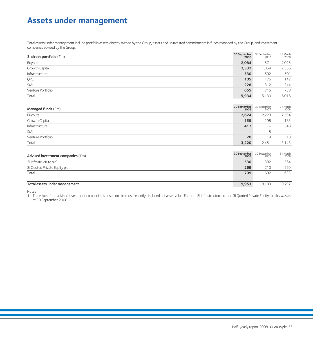## **Assets under management**

Total assets under management include portfolio assets directly owned by the Group, assets and uninvested commitments in funds managed by the Group, and investment companies advised by the Group.

| 30 September<br>2008 | 30 September<br>2007     | 31 March<br>2008 |
|----------------------|--------------------------|------------------|
| 2,084                | 1,571                    | 2,025            |
|                      | 1,854                    | 2,366            |
| 530                  | 502                      | 501              |
| 105                  | 176                      | 142              |
| 228                  | 312                      | 244              |
| 655                  | 715                      | 738              |
|                      | 5,130                    | 6,016            |
|                      |                          |                  |
| 30 September<br>2008 | 30 September<br>2007     | 31 March<br>2008 |
| 2,624                | 2,229                    | 2,594            |
| 159                  | 198                      | 183              |
| 417                  | $\overline{\phantom{m}}$ | 348              |
| -                    | 5                        |                  |
| 20                   | 19                       | 18               |
|                      | 2,451                    | 3,143            |
|                      |                          |                  |
| 30 September<br>2008 | 30 September<br>2007     | 31 March<br>2008 |
| 530                  | 392                      | 364              |
|                      | 2,332<br>5,934<br>3,220  |                  |

### **Total assets under management 9,953** 8,183 9,792

Notes

1 The value of the advised investment companies is based on the most recently disclosed net asset value. For both 3i Infrastructure plc and 3i Quoted Private Equity plc this was as at 30 September 2008

3i Quoted Private Equity plc1 **269** 210 269 Total **799** 602 633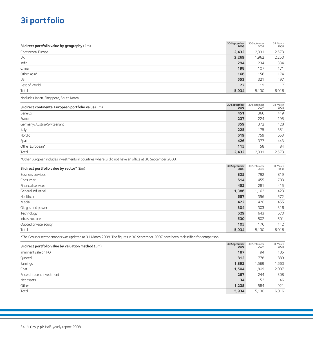## **3i portfolio**

| 3i direct portfolio value by geography (£m) | 30 September<br>2008 | 30 September<br>2007 | 31 March<br>2008 |
|---------------------------------------------|----------------------|----------------------|------------------|
| Continental Europe                          | 2,432                | 2,331                | 2,573            |
| UK                                          | 2,269                | 1,962                | 2,250            |
| India                                       | 294                  | 234                  | 334              |
| China                                       | 198                  | 107                  | 171              |
| Other Asia*                                 | 166                  | 156                  | 174              |
| US                                          | 553                  | 321                  | 497              |
| Rest of World                               | 22                   | 19                   | 17               |
| Total                                       | 5,934                | 5,130                | 6,016            |

\*Includes Japan, Singapore, South Korea.

| 3i direct continental European portfolio value $(\text{fm})$ | 30 September<br>2008 | 30 September<br>2007 | 31 March<br>2008 |
|--------------------------------------------------------------|----------------------|----------------------|------------------|
| Benelux                                                      | 451                  | 366                  | 419              |
| France                                                       | 237                  | 224                  | 195              |
| Germany/Austria/Switzerland                                  | 359                  | 372                  | 428              |
| Italy                                                        | 225                  | 175                  | 351              |
| Nordic                                                       | 619                  | 759                  | 653              |
| Spain                                                        | 426                  | 377                  | 443              |
| Other European*                                              | 115                  | 58                   | 84               |
| Total                                                        | 2,432                | 2,331                | 2,573            |

\*Other European includes investments in countries where 3i did not have an office at 30 September 2008.

| 3i direct portfolio value by sector* (£m) | 30 September<br>2008 | 30 September<br>2007 | 31 March<br>2008 |
|-------------------------------------------|----------------------|----------------------|------------------|
| <b>Business services</b>                  | 835                  | 792                  | 819              |
| Consumer                                  | 614                  | 455                  | 703              |
| Financial services                        | 452                  | 281                  | 415              |
| General industrial                        | 1,386                | 1,162                | 1,423            |
| Healthcare                                | 657                  | 396                  | 572              |
| Media                                     | 422                  | 420                  | 455              |
| Oil, gas and power                        | 304                  | 303                  | 316              |
| Technology                                | 629                  | 643                  | 670              |
| Infrastructure                            | 530                  | 502                  | 501              |
| Quoted private equity                     | 105                  | 176                  | 142              |
| Total                                     | 5,934                | 5,130                | 6,016            |

\*The Group's sector analysis was updated at 31 March 2008. The figures in 30 September 2007 have been reclassified for comparison.

| 3i direct portfolio value by valuation method $(\text{fm})$ | 30 September<br>2008 | 30 September<br>2007 | 31 March<br>2008 |
|-------------------------------------------------------------|----------------------|----------------------|------------------|
| Imminent sale or IPO                                        | 187                  | 94                   | 185              |
| Quoted                                                      | 812                  | 778                  | 889              |
| Earnings                                                    | 1,892                | ,569                 | 1,660            |
| Cost                                                        | 1,504                | ,809                 | 2,007            |
| Price of recent investment                                  | 267                  | 244                  | 308              |
| Net assets                                                  | 34                   | 52                   | 46               |
| Other                                                       | 1,238                | 584                  | 921              |
| Total                                                       | 5,934                | 5,130                | 6,016            |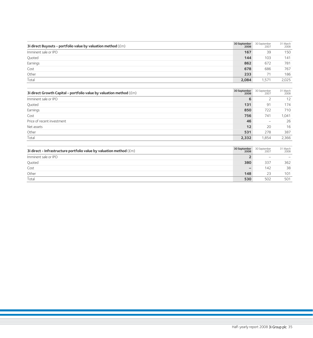| 3i direct Buyouts - portfolio value by valuation method $(\text{fm})$ | 30 September<br>2008 | 30 September<br>2007 | 31 March<br>2008 |
|-----------------------------------------------------------------------|----------------------|----------------------|------------------|
| Imminent sale or IPO                                                  | 167                  | 39                   | 150              |
| Quoted                                                                | 144                  | 103                  | 141              |
| Earnings                                                              | 862                  | 672                  | 781              |
| Cost                                                                  | 678                  | 686                  | 767              |
| Other                                                                 | 233                  | 71                   | 186              |
| Total                                                                 | 2,084                | 1,571                | 2,025            |

| 3i direct Growth Capital - portfolio value by valuation method $(\text{\textsterling m})$ | 30 September<br>2008 | 30 September<br>2007     | 31 March<br>2008 |
|-------------------------------------------------------------------------------------------|----------------------|--------------------------|------------------|
| Imminent sale or IPO                                                                      | 6                    |                          | 12               |
| Quoted                                                                                    | 131                  | 91                       | 174              |
| Earnings                                                                                  | 850                  | 722                      | 710              |
| Cost                                                                                      | 756                  | 741                      | 1,041            |
| Price of recent investment                                                                | 46                   | $\overline{\phantom{m}}$ | 26               |
| Net assets                                                                                | 12                   | 20                       | 16               |
| Other                                                                                     | 531                  | 278                      | 387              |
| Total                                                                                     | 2,332                | 1.854                    | 2.366            |

| 3i direct - Infrastructure portfolio value by valuation method $(\text{fm})$ | 30 September<br>2008 | 30 September<br>2007 | 31 March<br>2008 |
|------------------------------------------------------------------------------|----------------------|----------------------|------------------|
| Imminent sale or IPO                                                         |                      | $\qquad \qquad -$    |                  |
| Quoted                                                                       | 380                  | 337                  | 362              |
| Cost                                                                         |                      | 142                  | 38               |
| Other                                                                        | 148                  | 23                   | 101              |
| Total                                                                        | 530                  | 502                  | 501              |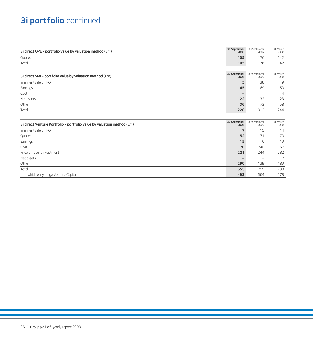## **3i portfolio** continued

| 3i direct QPE - portfolio value by valuation method $(\text{fm})$ | 30 September<br>2008 | 30 September<br>2007 | 31 March<br>2008 |
|-------------------------------------------------------------------|----------------------|----------------------|------------------|
| Quoted                                                            | 105                  | 176                  | 142              |
| Total                                                             | 105                  | 176                  | 142              |

| 3i direct SMI - portfolio value by valuation method $(\text{Em})$ | 30 September<br>2008 | 30 September<br>2007            | 31 March<br>2008 |
|-------------------------------------------------------------------|----------------------|---------------------------------|------------------|
| Imminent sale or IPO                                              |                      | 38                              | 9                |
| Earnings                                                          | 165                  | 169                             | 150              |
| Cost                                                              |                      | $\hspace{0.1mm}-\hspace{0.1mm}$ | $\overline{4}$   |
| Net assets                                                        | 22                   | 32                              | 23               |
| Other                                                             | 36                   | 73                              | 58               |
| Total                                                             | 228                  | 312                             | 244              |

| 3i direct Venture Portfolio - portfolio value by valuation method $(\text{\textsterling m})$ | 2008 | 30 September 30 September<br>2007 | 31 March<br>2008 |
|----------------------------------------------------------------------------------------------|------|-----------------------------------|------------------|
| Imminent sale or IPO                                                                         |      | 15                                | 14               |
| Quoted                                                                                       | 52   | 71                                | 70               |
| Earnings                                                                                     | 15   | 6                                 | 19               |
| Cost                                                                                         | 70   | 240                               | 157              |
| Price of recent investment                                                                   | 221  | 244                               | 282              |
| Net assets                                                                                   |      | $\overline{\phantom{0}}$          |                  |
| Other                                                                                        | 290  | 139                               | 189              |
| Total                                                                                        | 655  | 715                               | 738              |
| - of which early stage Venture Capital                                                       | 493  | 564                               | 578              |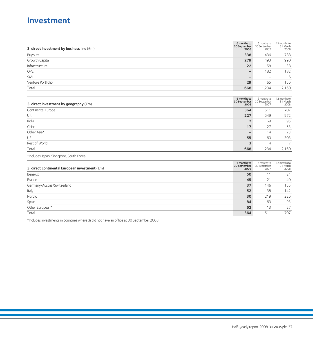## **Investment**

| 3i direct investment by business line $(\text{fm})$ | 6 months to<br>30 September<br>2008 | 6 months to<br>30 September<br>2007 | 12 months to<br>31 March<br>2008 |
|-----------------------------------------------------|-------------------------------------|-------------------------------------|----------------------------------|
| Buyouts                                             | 338                                 | 436                                 | 788                              |
| Growth Capital                                      | 279                                 | 493                                 | 990                              |
| Infrastructure                                      | 22                                  | 58                                  | 38                               |
| QPE                                                 |                                     | 182                                 | 182                              |
| SMI                                                 |                                     | $\qquad \qquad -$                   | 6                                |
| Venture Portfolio                                   | 29                                  | 65                                  | 156                              |
| Total                                               | 668                                 | 1.234                               | 2,160                            |

| 3i direct investment by geography $(\text{fm})$ | 6 months to<br>30 September<br>2008 | 6 months to<br>30 September<br>2007 | 12 months to<br>31 March<br>2008 |
|-------------------------------------------------|-------------------------------------|-------------------------------------|----------------------------------|
| Continental Europe                              | 364                                 | 511                                 | 707                              |
| UK                                              | 227                                 | 549                                 | 972                              |
| India                                           |                                     | 69                                  | 95                               |
| China                                           | 17                                  | 27                                  | 53                               |
| Other Asia*                                     |                                     | 14                                  | 23                               |
| US                                              | 55                                  | 60                                  | 303                              |
| Rest of World                                   |                                     | 4                                   |                                  |
| Total                                           | 668                                 | 1,234                               | 2,160                            |
|                                                 |                                     |                                     |                                  |

\*Includes Japan, Singapore, South Korea.

| 3i direct continental European investment (£m) | 6 months to<br>30 September<br>2008 | 6 months to<br>30 September<br>2007 | 12 months to<br>31 March<br>2008 |
|------------------------------------------------|-------------------------------------|-------------------------------------|----------------------------------|
| Benelux                                        | 50                                  | 11                                  | 24                               |
| France                                         | 49                                  | 21                                  | 40                               |
| Germany/Austria/Switzerland                    | 37                                  | 146                                 | 155                              |
| Italy                                          | 52                                  | 38                                  | 142                              |
| Nordic                                         | 30                                  | 219                                 | 226                              |
| Spain                                          | 84                                  | 63                                  | 93                               |
| Other European*                                | 62                                  | 13                                  | 27                               |
| Total                                          | 364                                 | 511                                 | 707                              |

\*Includes investments in countries where 3i did not have an office at 30 September 2008.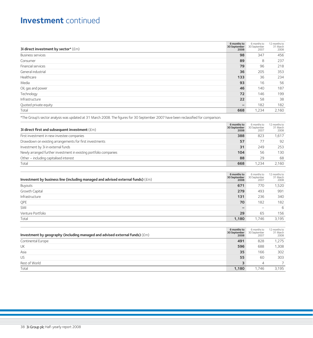## **Investment** continued

| 3i direct investment by sector* $(\text{Em})$ | 6 months to<br>30 September<br>2008 | 6 months to<br>30 September<br>2007 | 12 months to<br>31 March<br>2008 |
|-----------------------------------------------|-------------------------------------|-------------------------------------|----------------------------------|
| <b>Business services</b>                      | 98                                  | 347                                 | 456                              |
| Consumer                                      | 89                                  | 8                                   | 237                              |
| <b>Financial services</b>                     | 79                                  | 96                                  | 218                              |
| General industrial                            | 36                                  | 205                                 | 353                              |
| Healthcare                                    | 133                                 | 36                                  | 234                              |
| Media                                         | 93                                  | 16                                  | 56                               |
| Oil, gas and power                            | 46                                  | 140                                 | 187                              |
| Technology                                    | 72                                  | 146                                 | 199                              |
| Infrastructure                                | 22                                  | 58                                  | 38                               |
| Quoted private equity                         |                                     | 182                                 | 182                              |
| Total                                         | 668                                 | 1,234                               | 2,160                            |

\*The Group's sector analysis was updated at 31 March 2008. The figures for 30 September 2007 have been reclassified for comparison.

| 3i direct first and subsequent investment $(fm)$                  | 6 months to<br>30 September<br>2008 | 6 months to<br>30 September<br>2007 | 12 months to<br>31 March<br>2008 |
|-------------------------------------------------------------------|-------------------------------------|-------------------------------------|----------------------------------|
| First investment in new investee companies                        | 388                                 | 823                                 | 1,617                            |
| Drawdown on existing arrangements for first investments           | 57                                  | 77                                  | 92                               |
| Investment by 3i in external funds                                | 31                                  | 249                                 | 253                              |
| Newly arranged further investment in existing portfolio companies | 104                                 | 56                                  | 130                              |
| Other – including capitalised interest                            | 88                                  | 29                                  | 68                               |
| Total                                                             | 668                                 | .234                                | 2.160                            |

| Investment by business line (including managed and advised external funds) $(\text{Em})$ | 6 months to<br>30 September<br>2008 | 6 months to<br>30 September<br>2007 | 12 months to<br>31 March<br>2008 |
|------------------------------------------------------------------------------------------|-------------------------------------|-------------------------------------|----------------------------------|
| Buyouts                                                                                  | 671                                 | 770                                 | 1,520                            |
| Growth Capital                                                                           | 279                                 | 493                                 | 991                              |
| Infrastructure                                                                           | 131                                 | 236                                 | 340                              |
| QPE                                                                                      | 70                                  | 182                                 | 182                              |
| SMI                                                                                      |                                     | $\overline{\phantom{a}}$            | 6                                |
| Venture Portfolio                                                                        | 29                                  | 65                                  | 156                              |
| Total                                                                                    | 1.180                               | 1.746                               | 3.195                            |

| Investment by geography (including managed and advised external funds) $(\text{Em})$ | 6 months to<br>30 September<br>2008 | 6 months to<br>30 September<br>2007 | 12 months to<br>31 March<br>2008 |
|--------------------------------------------------------------------------------------|-------------------------------------|-------------------------------------|----------------------------------|
| Continental Europe                                                                   | 491                                 | 828                                 | 1,275                            |
| UK                                                                                   | 596                                 | 688                                 | 1,308                            |
| Asia                                                                                 | 35                                  | 166                                 | 302                              |
| US                                                                                   | 55                                  | 60                                  | 303                              |
| Rest of World                                                                        |                                     | 4                                   |                                  |
| Total                                                                                | 1,180                               | .746                                | 3.195                            |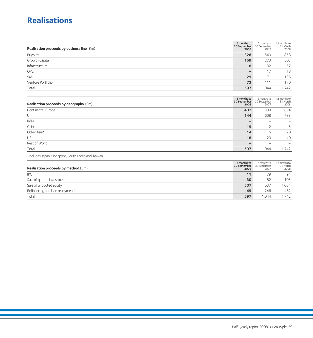## **Realisations**

|                                                                  | 6 months to<br>30 September | 6 months to<br>30 September | 12 months to<br>31 March |
|------------------------------------------------------------------|-----------------------------|-----------------------------|--------------------------|
| Realisation proceeds by business line $(\text{\textsterling m})$ | 2008                        | 2007                        | 2008                     |
| Buyouts                                                          | 326                         | 540                         | 858                      |
| Growth Capital                                                   | 169                         | 273                         | 503                      |
| Infrastructure                                                   | 8                           | 32                          | 57                       |
| QPE                                                              | -                           | 17                          | 18                       |
| SMI                                                              | 21                          | 71                          | 136                      |
| Venture Portfolio                                                | 73                          | 111                         | 170                      |
| Total                                                            | 597                         | 1.044                       | 1,742                    |

| Continental Europe<br>402 | 399<br>608 | 894<br>783 |
|---------------------------|------------|------------|
|                           |            |            |
| UK<br>144                 |            |            |
| India                     |            |            |
| China<br>19               |            | 5          |
| Other Asia*<br>14         | 15         | 20         |
| US<br>18                  | 20         | 40         |
| Rest of World             | -          | -          |
| Total<br>597              | 1,044      | 1,742      |

\*Includes Japan, Singapore, South Korea and Taiwan.

| <b>Realisation proceeds by method</b> $(\text{Em})$ | 6 months to<br>30 September<br>2008 | 6 months to<br>30 September<br>2007 | 12 months to<br>31 March<br>2008 |
|-----------------------------------------------------|-------------------------------------|-------------------------------------|----------------------------------|
| <b>IPO</b>                                          | 11                                  | 79                                  | 94                               |
| Sale of quoted investments                          | 30                                  | 82                                  | 105                              |
| Sale of unquoted equity                             | 507                                 | 637                                 | 1,081                            |
| Refinancing and loan repayments                     | 49                                  | 246                                 | 462                              |
| Total                                               | 597                                 | 1.044                               | 1,742                            |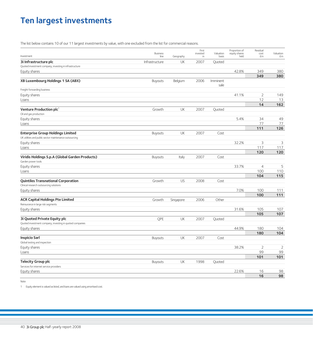## **Ten largest investments**

The list below contains 10 of our 11 largest investments by value, with one excluded from the list for commercial reasons.

| Investment                                               | <b>Business</b><br>line | Geography | First<br>invested<br>in | Valuation<br>basis | Proportion of<br>equity shares<br>held | Residual<br>cost<br>£m | Valuation<br>£m |
|----------------------------------------------------------|-------------------------|-----------|-------------------------|--------------------|----------------------------------------|------------------------|-----------------|
| 3i Infrastructure plc                                    | Infrastructure          | UK        | 2007                    | Quoted             |                                        |                        |                 |
| Quoted investment company, investing in infrastructure   |                         |           |                         |                    |                                        |                        |                 |
| Equity shares                                            |                         |           |                         |                    | 42.8%                                  | 349                    | 380             |
|                                                          |                         |           |                         |                    |                                        | 349                    | 380             |
| XB Luxembourg Holdings 1 SA (ABX)                        | Buyouts                 | Belgium   | 2006                    | Imminent<br>sale   |                                        |                        |                 |
| Freight forwarding business                              |                         |           |                         |                    |                                        |                        |                 |
| Equity shares                                            |                         |           |                         |                    | 41.1%                                  | $\overline{2}$         | 149             |
| Loans                                                    |                         |           |                         |                    |                                        | 12                     | 13              |
|                                                          |                         |           |                         |                    |                                        | 14                     | 162             |
| Venture Production plc <sup>1</sup>                      | Growth                  | UK        | 2007                    | Quoted             |                                        |                        |                 |
| Oil and gas production                                   |                         |           |                         |                    |                                        |                        |                 |
| Equity shares<br>Loans                                   |                         |           |                         |                    | 5.4%                                   | 34<br>77               | 49<br>77        |
|                                                          |                         |           |                         |                    |                                        | 111                    | 126             |
| <b>Enterprise Group Holdings Limited</b>                 | <b>Buyouts</b>          | UK        | 2007                    | Cost               |                                        |                        |                 |
| UK utilities and public sector maintenance outsourcing   |                         |           |                         |                    |                                        |                        |                 |
| Equity shares                                            |                         |           |                         |                    | 32.2%                                  | 3                      | 3               |
| Loans                                                    |                         |           |                         |                    |                                        | 117                    | 117             |
| Viridis Holdings S.p.A (Global Garden Products)          | <b>Buyouts</b>          | Italy     | 2007                    | Cost               |                                        | 120                    | 120             |
| Garden power tools                                       |                         |           |                         |                    |                                        |                        |                 |
| Equity shares                                            |                         |           |                         |                    | 33.7%                                  | 4                      | 5               |
| Loans                                                    |                         |           |                         |                    |                                        | 100                    | 110             |
|                                                          |                         |           |                         |                    |                                        | 104                    | 115             |
| <b>Quintiles Transnational Corporation</b>               | Growth                  | US        | 2008                    | Cost               |                                        |                        |                 |
| Clinical research outsourcing solutions                  |                         |           |                         |                    |                                        |                        |                 |
| Equity shares                                            |                         |           |                         |                    | 7.0%                                   | 100                    | 111             |
|                                                          |                         |           |                         |                    |                                        | 100                    | 111             |
| <b>ACR Capital Holdings Pte Limited</b>                  | Growth                  | Singapore | 2006                    | Other              |                                        |                        |                 |
| Reinsurance in large risk segments                       |                         |           |                         |                    |                                        |                        |                 |
| Equity shares                                            |                         |           |                         |                    | 31.6%                                  | 105                    | 107             |
| 3i Quoted Private Equity plc                             | OPE                     | UK        | 2007                    | Quoted             |                                        | 105                    | 107             |
| Quoted investment company, investing in quoted companies |                         |           |                         |                    |                                        |                        |                 |
| Equity shares                                            |                         |           |                         |                    | 44.9%                                  | 180                    | 104             |
|                                                          |                         |           |                         |                    |                                        | 180                    | 104             |
| <b>Inspicio Sarl</b>                                     | <b>Buyouts</b>          | UK        | 2007                    | Cost               |                                        |                        |                 |
| Global testing and inspection                            |                         |           |                         |                    |                                        |                        |                 |
| Equity shares                                            |                         |           |                         |                    | 38.2%                                  | $\overline{2}$         | 2               |
| Loans                                                    |                         |           |                         |                    |                                        | 99                     | 99              |
|                                                          |                         |           |                         |                    |                                        | 101                    | 101             |
| <b>Telecity Group plc</b>                                | Buyouts                 | UK        | 1998                    | Quoted             |                                        |                        |                 |
| Services for internet service providers                  |                         |           |                         |                    |                                        |                        |                 |
| Equity shares                                            |                         |           |                         |                    | 22.6%                                  | 16                     | 98              |
|                                                          |                         |           |                         |                    |                                        | 16                     | 98              |

Note

1 Equity element is valued as listed, and loans are valued using amortised cost.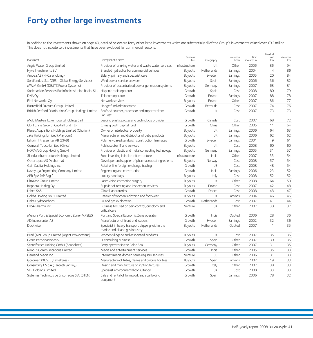## **Forty other large investments**

In addition to the investments shown on page 40, detailed below are forty other large investments which are substantially all of the Group's investments valued over £32 million. This does not include two investments that have been excluded for commercial reasons.

|                                                      |                                                                                      |                         |             |                    |                      | Residual       |                 |
|------------------------------------------------------|--------------------------------------------------------------------------------------|-------------------------|-------------|--------------------|----------------------|----------------|-----------------|
| Investment                                           | Description of business                                                              | <b>Business</b><br>line | Geography   | Valuation<br>basis | First<br>invested in | cost<br>£m     | Valuation<br>£m |
| Anglia Water Group Limited                           | Provider of drinking water and waste water services                                  | Infrastructure          | UK          | Other              | 2006                 | 86             | 94              |
| Hyva Investments BV                                  | Branded hydraulics for commercial vehicles                                           | <b>Buyouts</b>          | Netherlands | Earnings           | 2004                 | $\overline{4}$ | 86              |
| Ambea AB (H-Careholding)                             | Elderly, primary and specialist care                                                 | <b>Buyouts</b>          | Sweden      | Earnings           | 2005                 | 20             | 84              |
| Sortifandus, S.L. (GES - Global Energy Services)     | Wind power service provider                                                          | <b>Buyouts</b>          | Spain       | Earnings           | 2006                 | 36             | 82              |
| MWM GmbH (DEUTZ Power Systems)                       | Provider of decentralised power generation systems                                   | <b>Buyouts</b>          | Germany     | Earnings           | 2007                 | 68             | 81              |
| Sociedad de Servicios Radiofonicos Union Radio, S.L. | Hispanic radio operator                                                              | Growth                  | Spain       | Cost               | 2008                 | 80             | 79              |
| DNA Oy                                               | Telecom operator                                                                     | Growth                  | Finland     | Earnings           | 2007                 | 88             | 78              |
| Eltel Networks Oy                                    | Network services                                                                     | Buyouts                 | Finland     | Other              | 2007                 | 86             | 77              |
| Butterfield Fulcrum Group Limited                    | Hedge fund administrator                                                             | Growth                  | Bermuda     | Cost               | 2007                 | 74             | 76              |
| British Seafood Distribution Group Holdings Limited  | Seafood sourcer, processor and importer from<br>Far East                             | Growth                  | UK          | Cost               | 2007                 | 73             | 73              |
| Mold Masters Luxembourg Holdings Sarl                | Leading plastic processing technology provider                                       | Growth                  | Canada      | Cost               | 2007                 | 68             | 72              |
| CDH China Growth Capital Fund II LP                  | China growth capital fund                                                            | Growth                  | China       | Other              | 2005                 | 11             | 64              |
| Planet Acquisitions Holdings Limited (Chorion)       | Owner of intellectual property                                                       | <b>Buyouts</b>          | UK          | Earnings           | 2006                 | 64             | 63              |
| Jake Holdings Limited (Mayborn)                      | Manufacturer and distributor of baby products                                        | <b>Buyouts</b>          | UK          | Earnings           | 2006                 | 62             | 62              |
| Laholm Intressenter AB (DIAB)                        | Polymer-based sandwich construction laminates                                        | Growth                  | Sweden      | Earnings           | 2001                 | 9              | 61              |
| Cornwall Topco Limited (Civica)                      | Public sector IT and services                                                        | <b>Buyouts</b>          | UK          | Cost               | 2008                 | 60             | 60              |
| NORMA Group Holding GmbH                             | Provider of plastic and metal connecting technology                                  | <b>Buyouts</b>          | Germany     | Earnings           | 2005                 | 31             | 57              |
| 3i India Infrastructure Holdings Limited             | Fund investing in Indian infrastructure                                              | Infrastructure          | India       | Other              | 2007                 | 33             | 54              |
| Otnortopco AS (Alpharma)                             | Developer and supplier of pharmaceutical ingredients                                 | <b>Buyouts</b>          | Norway      | Cost               | 2008                 | 57             | 54              |
| Gain Capital Holdings Inc                            | Retail online foreign exchange trading                                               | Growth                  | <b>US</b>   | Cost               | 2008                 | 48             | 54              |
| Navayuga Engineering Company Limited                 | Engineering and construction                                                         | Growth                  | India       | Earnings           | 2006                 | 23             | 52              |
| APB SpA (AP Bags)                                    | Luxury handbags                                                                      | <b>Buyouts</b>          | Italy       | Cost               | 2008                 | 52             | 52              |
| Ultralase Group Limited                              | Laser vision correction surgery                                                      | <b>Buyouts</b>          | UK          | Other              | 2008                 | 64             | 50              |
| Inspecta Holding Oy                                  | Supplier of testing and inspection services                                          | <b>Buyouts</b>          | Finland     | Cost               | 2007                 | 42             | 48              |
| Labco SAS                                            | Clinical laboratories                                                                | Growth                  | France      | Cost               | 2008                 | 48             | 47              |
| Hobbs Holding No. 1 Limited                          | Retailer of women's clothing and footwear                                            | <b>Buyouts</b>          | UK          | Earnings           | 2004                 | 46             | 45              |
| Delta Hydrocarbons                                   | Oil and gas exploration                                                              | Growth                  | Netherlands | Cost               | 2007                 | 41             | 44              |
| EUSA Pharma Inc.                                     | Business focused on pain control, oncology and<br>critical care                      | Venture                 | UK          | Other              | 2007                 | 30             | 37              |
| Mundra Port & Special Economic Zone (MPSEZ)          | Port and Special Economic Zone operator                                              | Growth                  | India       | Quoted             | 2006                 | 28             | 36              |
| Alö Intressenter AB                                  | Manufacturer of front end loaders                                                    | Growth                  | Sweden      | Earnings           | 2002                 | 32             | 36              |
| Dockwise                                             | Specialist in heavy transport shipping within the<br>marine and oil and gas industry | <b>Buyouts</b>          | Netherlands | Quoted             | 2007                 | $\mathbf{1}$   | 35              |
| Pearl (AP) Group Limited (Agent Provocateur)         | Women's lingerie and associated products                                             | Buyouts                 | UK          | Cost               | 2007                 | 35             | 35              |
| Everis Participaciones S.L.                          | IT consulting business                                                               | Growth                  | Spain       | Other              | 2007                 | 30             | 35              |
| Scandferries Holding GmbH (Scandlines)               | Ferry operator in the Baltic Sea                                                     | Buyouts                 | Germany     | Other              | 2007                 | 31             | 35              |
| Nimbus Communications Limited                        | Media and entertainment services                                                     | Growth                  | India       | Other              | 2005                 | 35             | 33              |
| Demand Media Inc.                                    | Internet/media domain name registry services                                         | Venture                 | <b>US</b>   | Other              | 2006                 | 31             | 33              |
| Goromar XXI, S.L. (Esmalglass)                       | Manufacture of frites, glazes and colours for tiles                                  | <b>Buyouts</b>          | Spain       | Earnings           | 2002                 | 19             | 33              |
| Consulting 1 S.p.A (Targetti Sankey)                 | Design and manufacture of lighting fixtures                                          | Growth                  | Italy       | Other              | 2007                 | 38             | 33              |
| <b>SLR Holdings Limited</b>                          | Specialist environmental consultancy                                                 | Growth                  | UK          | Cost               | 2008                 | 33             | 33              |
| Sistemas Technicos de Encofrados S.A. (STEN)         | Sale and rental of formwork and scaffolding<br>equipment                             | Growth                  | Spain       | Earnings           | 2006                 | 78             | 32              |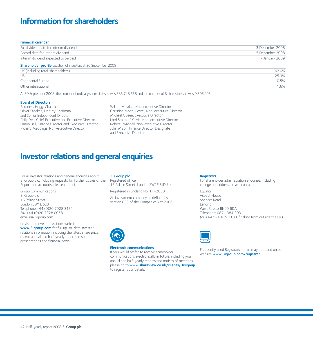## **Information for shareholders**

#### **Financial calendar**

| Ex-dividend date for interim dividend                                 | 3 December 2008 |
|-----------------------------------------------------------------------|-----------------|
| Record date for interim dividend                                      | 5 December 2008 |
| Interim dividend expected to be paid                                  | 7 January 2009  |
| <b>Shareholder profile</b> Location of investors at 30 September 2008 |                 |
| UK (including retail shareholders)                                    | 62.0%           |
| US                                                                    | 25.9%           |
| Continental Europe                                                    | 10.5%           |
| Other international                                                   | 1.6%            |

At 30 September 2008, the number of ordinary shares in issue was 383,748,638 and the number of B shares in issue was 9,305,993.

#### **Board of Directors**

Baroness Hogg, Chairman Oliver Stocken, Deputy Chairman and Senior Independent Director Philip Yea, Chief Executive and Executive Director Simon Ball, Finance Director and Executive Director Richard Meddings, Non-executive Director

Willem Mesdag, Non-executive Director Christine Morin-Postel, Non-executive Director Michael Queen, Executive Director Lord Smith of Kelvin, Non-executive Director Robert Swannell, Non-executive Director Julia Wilson, Finance Director Designate and Executive Director

## **Investor relations and general enquiries**

For all investor relations and general enquiries about 3i Group plc, including requests for further copies of the Report and accounts, please contact:

Group Communications 3i Group plc 16 Palace Street London SW1E 5JD Telephone +44 (0)20 7928 3131 Fax +44 (0)20 7928 0058 email ir@3igroup.com

or visit our investor relations website **www.3igroup.com** for full up-to-date investor relations information including the latest share price, recent annual and half-yearly reports, results presentations and financial news.

## **3i Group plc**

Registered office: 16 Palace Street, London SW1E 5JD, UK

Registered in England No. 1142830

An investment company as defined by section 833 of the Companies Act 2006.

#### **Electronic communications**

If you would prefer to receive shareholder communications electronically in future, including your annual and half-yearly reports and notices of meetings, please go to **www.shareview.co.uk/clients/3isignup** to register your details.

#### **Registrars**

For shareholder administration enquiries, including changes of address, please contact:

Equiniti Aspect House Spencer Road Lancing West Sussex BN99 6DA Telephone: 0871 384 2031 (or +44 121 415 7183 if calling from outside the UK)



Frequently used Registrars' forms may be found on our website **www.3igroup.com/registrar**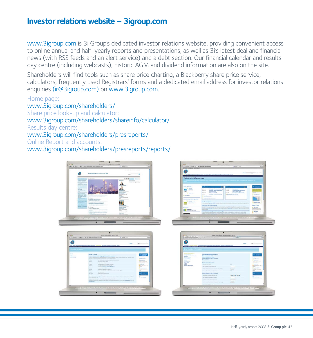## **Investor relations website – 3igroup.com**

www.3igroup.com is 3i Group's dedicated investor relations website, providing convenient access to online annual and half-yearly reports and presentations, as well as 3i's latest deal and financial news (with RSS feeds and an alert service) and a debt section. Our financial calendar and results day centre (including webcasts), historic AGM and dividend information are also on the site.

Shareholders will find tools such as share price charting, a Blackberry share price service, calculators, frequently used Registrars' forms and a dedicated email address for investor relations enquiries (ir@3igroup.com) on www.3igroup.com.

Home page:

www.3igroup.com/shareholders/ Share price look-up and calculator: www.3igroup.com/shareholders/shareinfo/calculator/ Results day centre: www.3igroup.com/shareholders/presreports/ Online Report and accounts: www.3igroup.com/shareholders/presreports/ reports/

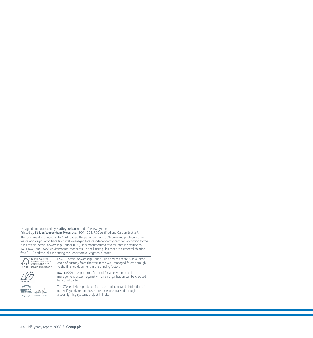Designed and produced by **Radley Yeldar** (London) www.ry.com Printed by St Ives Westerham Press Ltd, ISO14001, FSC certified and CarbonNeutral®.

This document is printed on ERA Silk paper. The paper contains 50% de-inked post-consumer waste and virgin wood fibre from well-managed forests independently certified according to the rules of the Forest Stewardship Council (FSC). It is manufactured at a mill that is certified to ISO14001 and EMAS environmental standards. The mill uses pulps that are elemental chlorine free (ECF) and the inks in printing this report are all vegetable-based.

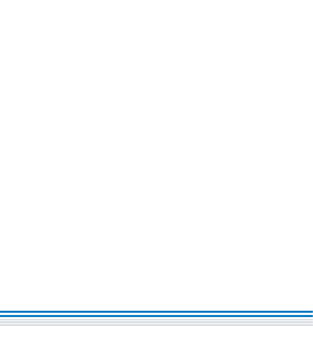$\mathcal{L}_{\text{max}}$  and  $\mathcal{L}_{\text{max}}$  and  $\mathcal{L}_{\text{max}}$